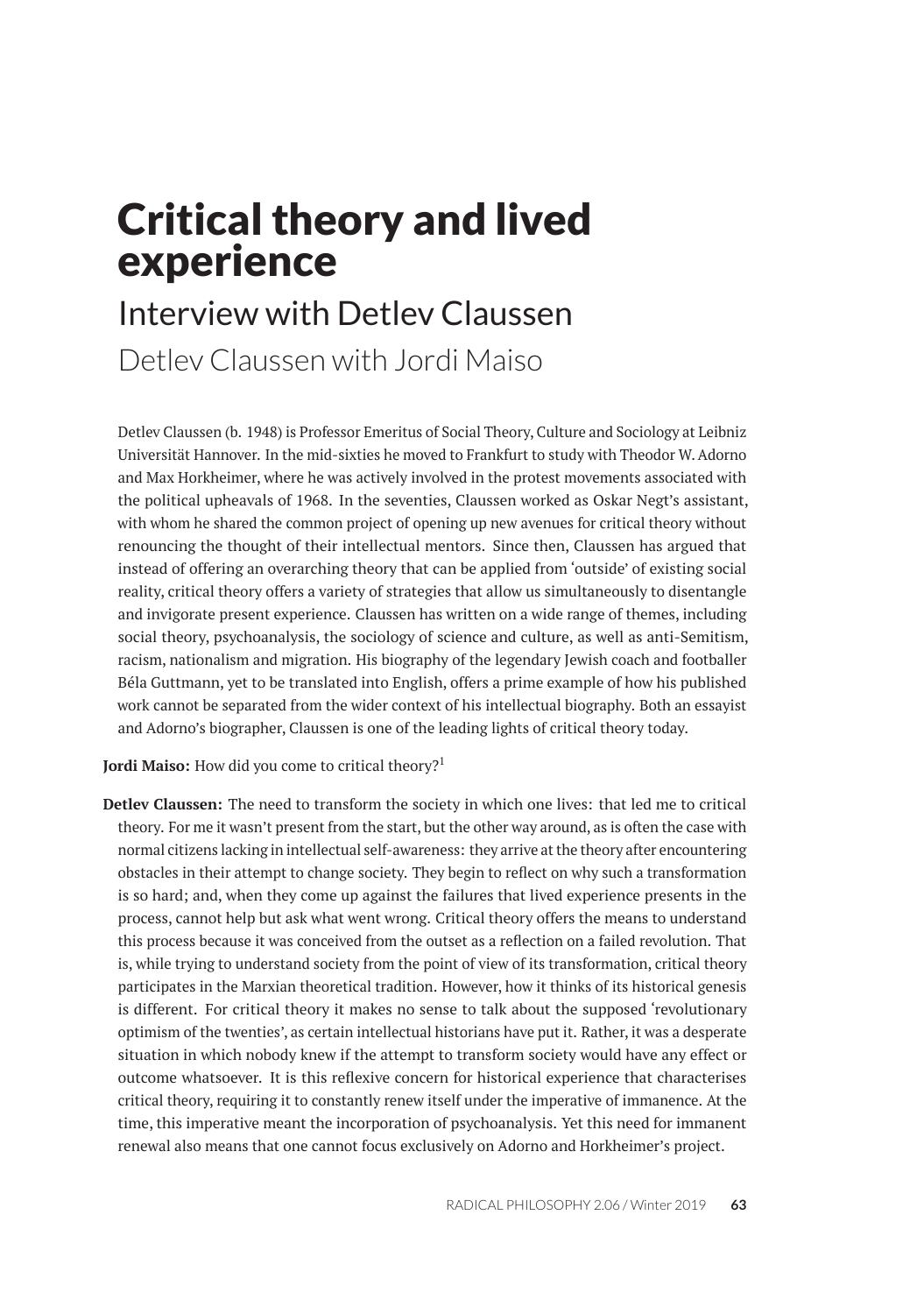# Critical theory and lived experience

# Interview with Detlev Claussen Detlev Claussen with Jordi Maiso

Detlev Claussen (b. 1948) is Professor Emeritus of Social Theory, Culture and Sociology at Leibniz Universität Hannover. In the mid-sixties he moved to Frankfurt to study with Theodor W. Adorno and Max Horkheimer, where he was actively involved in the protest movements associated with the political upheavals of 1968. In the seventies, Claussen worked as Oskar Negt's assistant, with whom he shared the common project of opening up new avenues for critical theory without renouncing the thought of their intellectual mentors. Since then, Claussen has argued that instead of offering an overarching theory that can be applied from 'outside' of existing social reality, critical theory offers a variety of strategies that allow us simultaneously to disentangle and invigorate present experience. Claussen has written on a wide range of themes, including social theory, psychoanalysis, the sociology of science and culture, as well as anti-Semitism, racism, nationalism and migration. His biography of the legendary Jewish coach and footballer Béla Guttmann, yet to be translated into English, offers a prime example of how his published work cannot be separated from the wider context of his intellectual biography. Both an essayist and Adorno's biographer, Claussen is one of the leading lights of critical theory today.

Jordi Maiso: How did you come to critical theory?<sup>1</sup>

**Detlev Claussen:** The need to transform the society in which one lives: that led me to critical theory. For me it wasn't present from the start, but the other way around, as is often the case with normal citizens lacking in intellectual self-awareness: they arrive at the theory after encountering obstacles in their attempt to change society. They begin to reflect on why such a transformation is so hard; and, when they come up against the failures that lived experience presents in the process, cannot help but ask what went wrong. Critical theory offers the means to understand this process because it was conceived from the outset as a reflection on a failed revolution. That is, while trying to understand society from the point of view of its transformation, critical theory participates in the Marxian theoretical tradition. However, how it thinks of its historical genesis is different. For critical theory it makes no sense to talk about the supposed 'revolutionary optimism of the twenties', as certain intellectual historians have put it. Rather, it was a desperate situation in which nobody knew if the attempt to transform society would have any effect or outcome whatsoever. It is this reflexive concern for historical experience that characterises critical theory, requiring it to constantly renew itself under the imperative of immanence. At the time, this imperative meant the incorporation of psychoanalysis. Yet this need for immanent renewal also means that one cannot focus exclusively on Adorno and Horkheimer's project.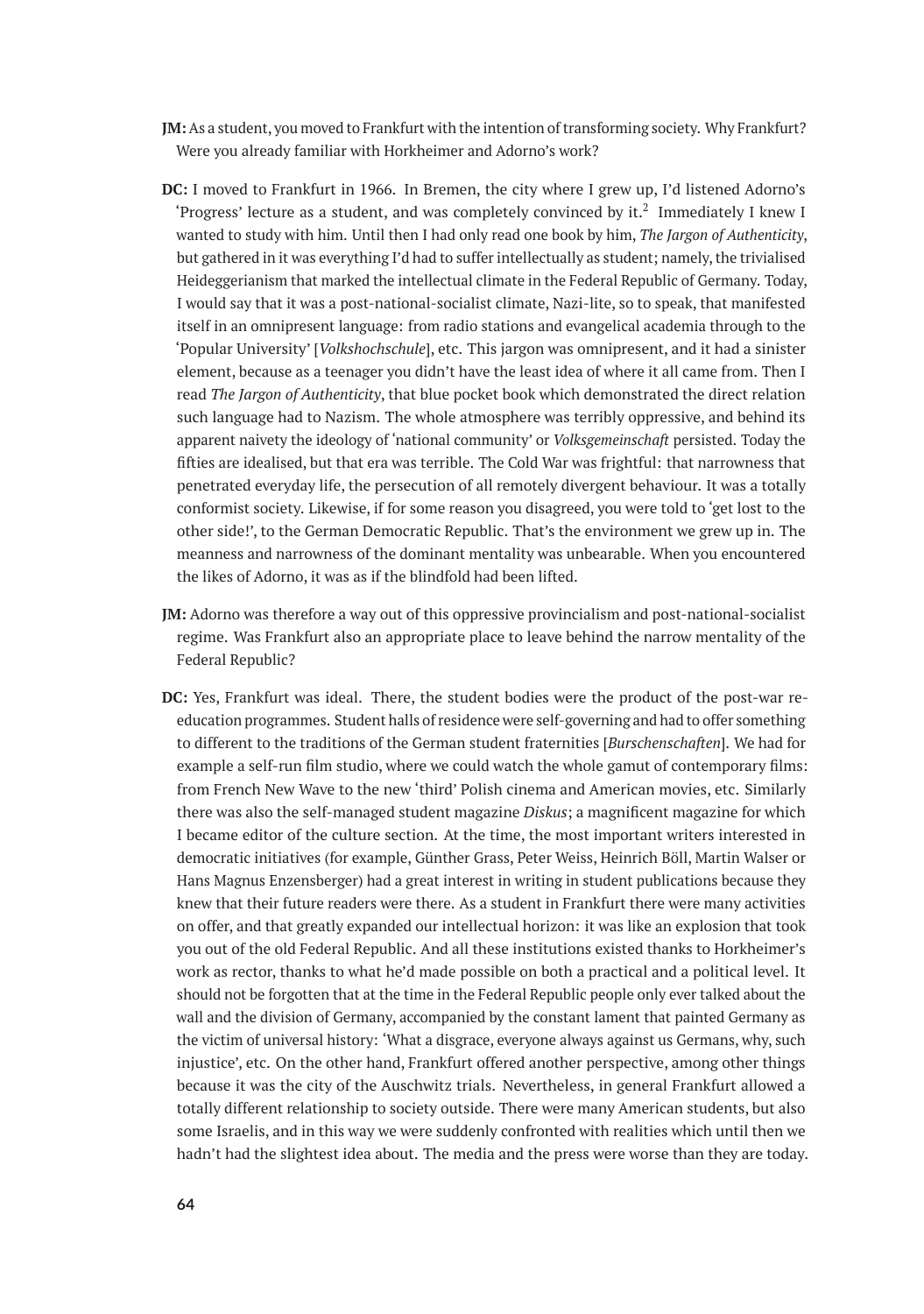- **JM:**As a student, you moved to Frankfurt with the intention of transforming society. Why Frankfurt? Were you already familiar with Horkheimer and Adorno's work?
- **DC:** I moved to Frankfurt in 1966. In Bremen, the city where I grew up, I'd listened Adorno's 'Progress' lecture as a student, and was completely convinced by it.<sup>2</sup> Immediately I knew I wanted to study with him. Until then I had only read one book by him, *The Jargon of Authenticity*, but gathered in it was everything I'd had to suffer intellectually as student; namely, the trivialised Heideggerianism that marked the intellectual climate in the Federal Republic of Germany. Today, I would say that it was a post-national-socialist climate, Nazi-lite, so to speak, that manifested itself in an omnipresent language: from radio stations and evangelical academia through to the 'Popular University' [*Volkshochschule*], etc. This jargon was omnipresent, and it had a sinister element, because as a teenager you didn't have the least idea of where it all came from. Then I read *The Jargon of Authenticity*, that blue pocket book which demonstrated the direct relation such language had to Nazism. The whole atmosphere was terribly oppressive, and behind its apparent naivety the ideology of 'national community' or *Volksgemeinschaft* persisted. Today the fifties are idealised, but that era was terrible. The Cold War was frightful: that narrowness that penetrated everyday life, the persecution of all remotely divergent behaviour. It was a totally conformist society. Likewise, if for some reason you disagreed, you were told to 'get lost to the other side!', to the German Democratic Republic. That's the environment we grew up in. The meanness and narrowness of the dominant mentality was unbearable. When you encountered the likes of Adorno, it was as if the blindfold had been lifted.
- **JM:** Adorno was therefore a way out of this oppressive provincialism and post-national-socialist regime. Was Frankfurt also an appropriate place to leave behind the narrow mentality of the Federal Republic?
- **DC:** Yes, Frankfurt was ideal. There, the student bodies were the product of the post-war reeducation programmes. Student halls of residence were self-governing and had to offer something to different to the traditions of the German student fraternities [*Burschenschaften*]. We had for example a self-run film studio, where we could watch the whole gamut of contemporary films: from French New Wave to the new 'third' Polish cinema and American movies, etc. Similarly there was also the self-managed student magazine *Diskus*; a magnificent magazine for which I became editor of the culture section. At the time, the most important writers interested in democratic initiatives (for example, Günther Grass, Peter Weiss, Heinrich Böll, Martin Walser or Hans Magnus Enzensberger) had a great interest in writing in student publications because they knew that their future readers were there. As a student in Frankfurt there were many activities on offer, and that greatly expanded our intellectual horizon: it was like an explosion that took you out of the old Federal Republic. And all these institutions existed thanks to Horkheimer's work as rector, thanks to what he'd made possible on both a practical and a political level. It should not be forgotten that at the time in the Federal Republic people only ever talked about the wall and the division of Germany, accompanied by the constant lament that painted Germany as the victim of universal history: 'What a disgrace, everyone always against us Germans, why, such injustice', etc. On the other hand, Frankfurt offered another perspective, among other things because it was the city of the Auschwitz trials. Nevertheless, in general Frankfurt allowed a totally different relationship to society outside. There were many American students, but also some Israelis, and in this way we were suddenly confronted with realities which until then we hadn't had the slightest idea about. The media and the press were worse than they are today.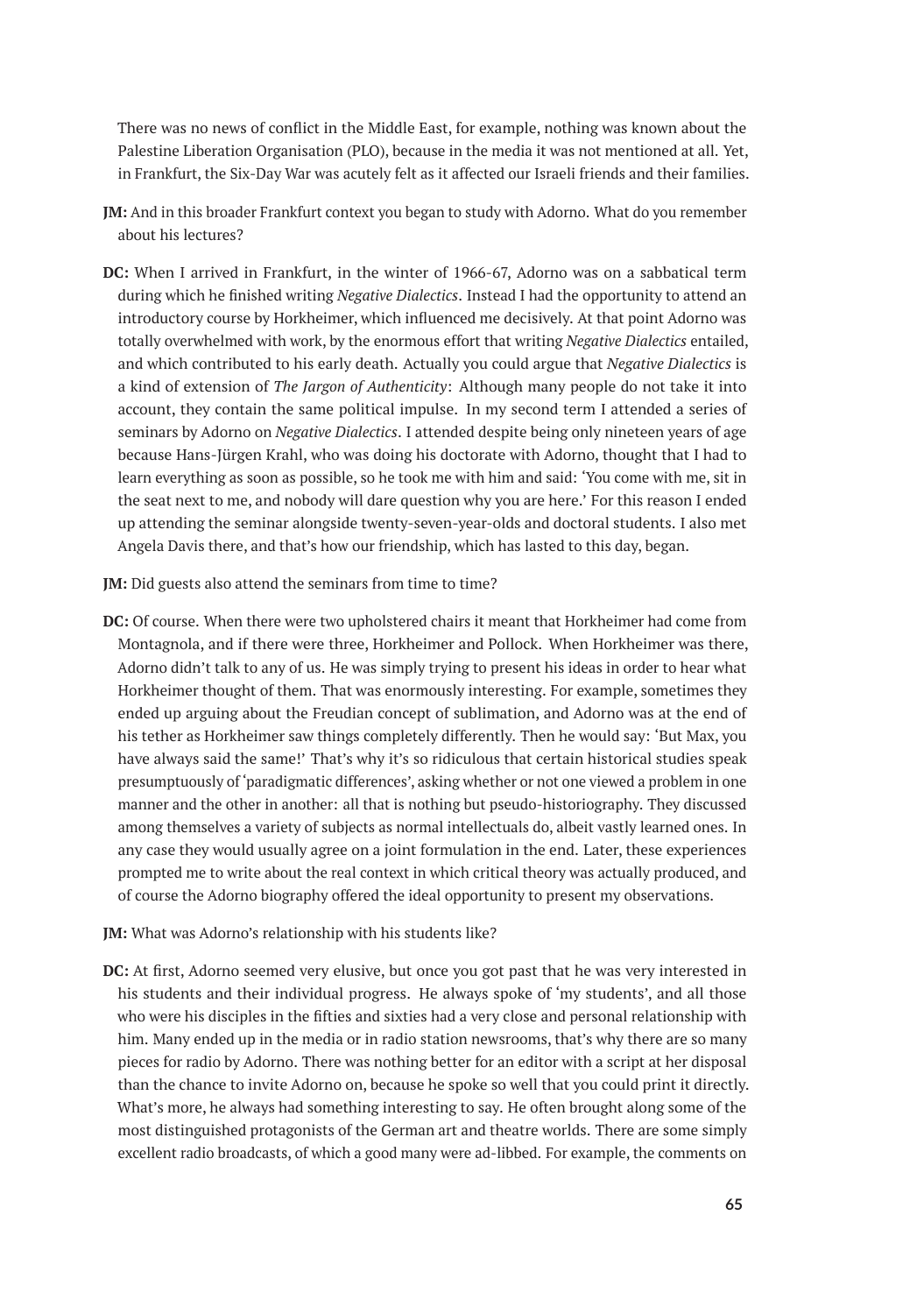There was no news of conflict in the Middle East, for example, nothing was known about the Palestine Liberation Organisation (PLO), because in the media it was not mentioned at all. Yet, in Frankfurt, the Six-Day War was acutely felt as it affected our Israeli friends and their families.

- **JM:** And in this broader Frankfurt context you began to study with Adorno. What do you remember about his lectures?
- **DC:** When I arrived in Frankfurt, in the winter of 1966-67, Adorno was on a sabbatical term during which he finished writing *Negative Dialectics*. Instead I had the opportunity to attend an introductory course by Horkheimer, which influenced me decisively. At that point Adorno was totally overwhelmed with work, by the enormous effort that writing *Negative Dialectics* entailed, and which contributed to his early death. Actually you could argue that *Negative Dialectics* is a kind of extension of *The Jargon of Authenticity*: Although many people do not take it into account, they contain the same political impulse. In my second term I attended a series of seminars by Adorno on *Negative Dialectics*. I attended despite being only nineteen years of age because Hans-Jürgen Krahl, who was doing his doctorate with Adorno, thought that I had to learn everything as soon as possible, so he took me with him and said: 'You come with me, sit in the seat next to me, and nobody will dare question why you are here.' For this reason I ended up attending the seminar alongside twenty-seven-year-olds and doctoral students. I also met Angela Davis there, and that's how our friendship, which has lasted to this day, began.

**JM:** Did guests also attend the seminars from time to time?

- **DC:** Of course. When there were two upholstered chairs it meant that Horkheimer had come from Montagnola, and if there were three, Horkheimer and Pollock. When Horkheimer was there, Adorno didn't talk to any of us. He was simply trying to present his ideas in order to hear what Horkheimer thought of them. That was enormously interesting. For example, sometimes they ended up arguing about the Freudian concept of sublimation, and Adorno was at the end of his tether as Horkheimer saw things completely differently. Then he would say: 'But Max, you have always said the same!' That's why it's so ridiculous that certain historical studies speak presumptuously of 'paradigmatic differences', asking whether or not one viewed a problem in one manner and the other in another: all that is nothing but pseudo-historiography. They discussed among themselves a variety of subjects as normal intellectuals do, albeit vastly learned ones. In any case they would usually agree on a joint formulation in the end. Later, these experiences prompted me to write about the real context in which critical theory was actually produced, and of course the Adorno biography offered the ideal opportunity to present my observations.
- **JM:** What was Adorno's relationship with his students like?
- **DC:** At first, Adorno seemed very elusive, but once you got past that he was very interested in his students and their individual progress. He always spoke of 'my students', and all those who were his disciples in the fifties and sixties had a very close and personal relationship with him. Many ended up in the media or in radio station newsrooms, that's why there are so many pieces for radio by Adorno. There was nothing better for an editor with a script at her disposal than the chance to invite Adorno on, because he spoke so well that you could print it directly. What's more, he always had something interesting to say. He often brought along some of the most distinguished protagonists of the German art and theatre worlds. There are some simply excellent radio broadcasts, of which a good many were ad-libbed. For example, the comments on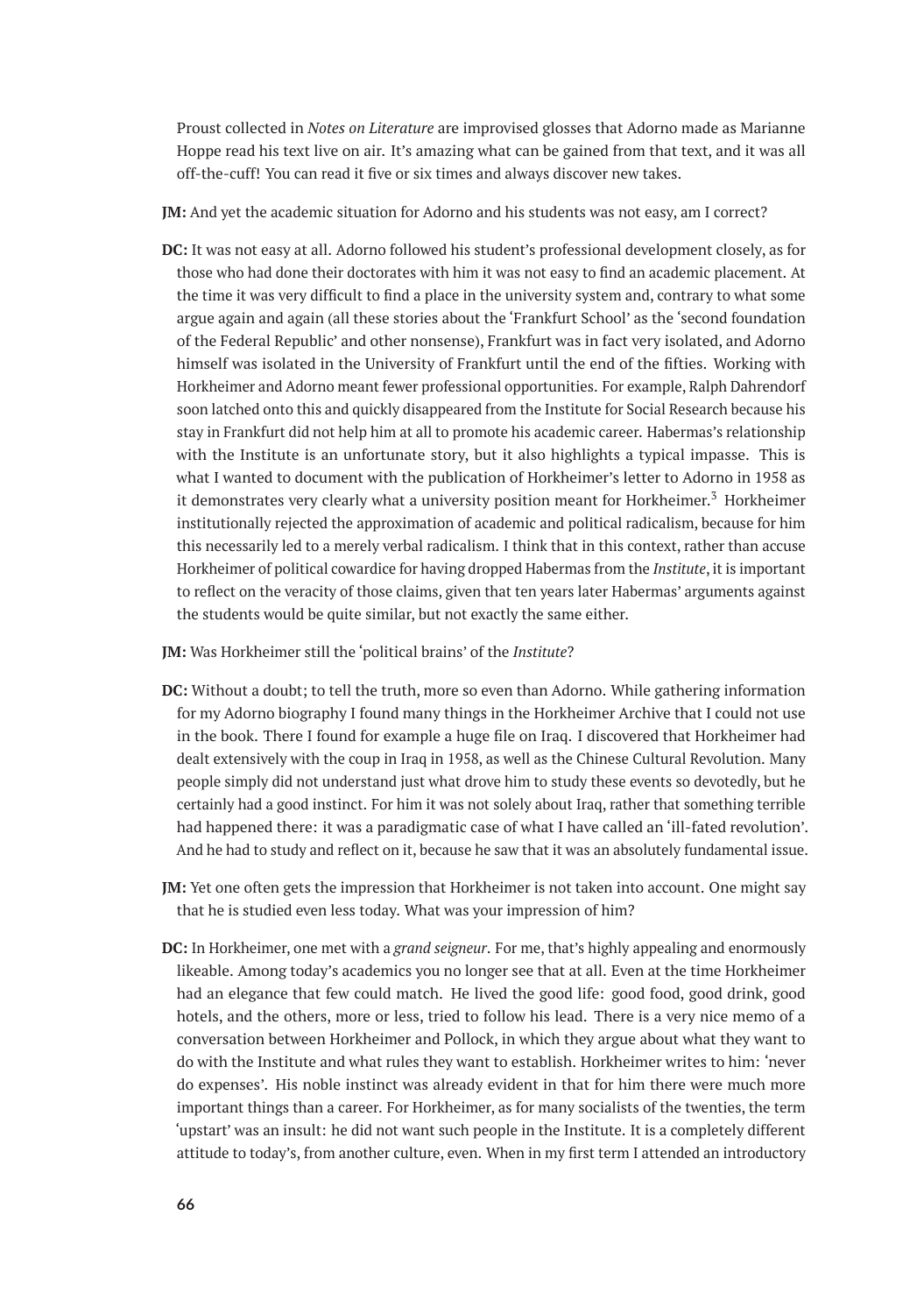Proust collected in *Notes on Literature* are improvised glosses that Adorno made as Marianne Hoppe read his text live on air. It's amazing what can be gained from that text, and it was all off-the-cuff! You can read it five or six times and always discover new takes.

**JM:** And yet the academic situation for Adorno and his students was not easy, am I correct?

**DC:** It was not easy at all. Adorno followed his student's professional development closely, as for those who had done their doctorates with him it was not easy to find an academic placement. At the time it was very difficult to find a place in the university system and, contrary to what some argue again and again (all these stories about the 'Frankfurt School' as the 'second foundation of the Federal Republic' and other nonsense), Frankfurt was in fact very isolated, and Adorno himself was isolated in the University of Frankfurt until the end of the fifties. Working with Horkheimer and Adorno meant fewer professional opportunities. For example, Ralph Dahrendorf soon latched onto this and quickly disappeared from the Institute for Social Research because his stay in Frankfurt did not help him at all to promote his academic career. Habermas's relationship with the Institute is an unfortunate story, but it also highlights a typical impasse. This is what I wanted to document with the publication of Horkheimer's letter to Adorno in 1958 as it demonstrates very clearly what a university position meant for Horkheimer.<sup>3</sup> Horkheimer institutionally rejected the approximation of academic and political radicalism, because for him this necessarily led to a merely verbal radicalism. I think that in this context, rather than accuse Horkheimer of political cowardice for having dropped Habermas from the *Institute*, it is important to reflect on the veracity of those claims, given that ten years later Habermas' arguments against the students would be quite similar, but not exactly the same either.

**JM:** Was Horkheimer still the 'political brains' of the *Institute*?

- **DC:** Without a doubt; to tell the truth, more so even than Adorno. While gathering information for my Adorno biography I found many things in the Horkheimer Archive that I could not use in the book. There I found for example a huge file on Iraq. I discovered that Horkheimer had dealt extensively with the coup in Iraq in 1958, as well as the Chinese Cultural Revolution. Many people simply did not understand just what drove him to study these events so devotedly, but he certainly had a good instinct. For him it was not solely about Iraq, rather that something terrible had happened there: it was a paradigmatic case of what I have called an 'ill-fated revolution'. And he had to study and reflect on it, because he saw that it was an absolutely fundamental issue.
- **JM:** Yet one often gets the impression that Horkheimer is not taken into account. One might say that he is studied even less today. What was your impression of him?
- **DC:** In Horkheimer, one met with a *grand seigneur*. For me, that's highly appealing and enormously likeable. Among today's academics you no longer see that at all. Even at the time Horkheimer had an elegance that few could match. He lived the good life: good food, good drink, good hotels, and the others, more or less, tried to follow his lead. There is a very nice memo of a conversation between Horkheimer and Pollock, in which they argue about what they want to do with the Institute and what rules they want to establish. Horkheimer writes to him: 'never do expenses'. His noble instinct was already evident in that for him there were much more important things than a career. For Horkheimer, as for many socialists of the twenties, the term 'upstart' was an insult: he did not want such people in the Institute. It is a completely different attitude to today's, from another culture, even. When in my first term I attended an introductory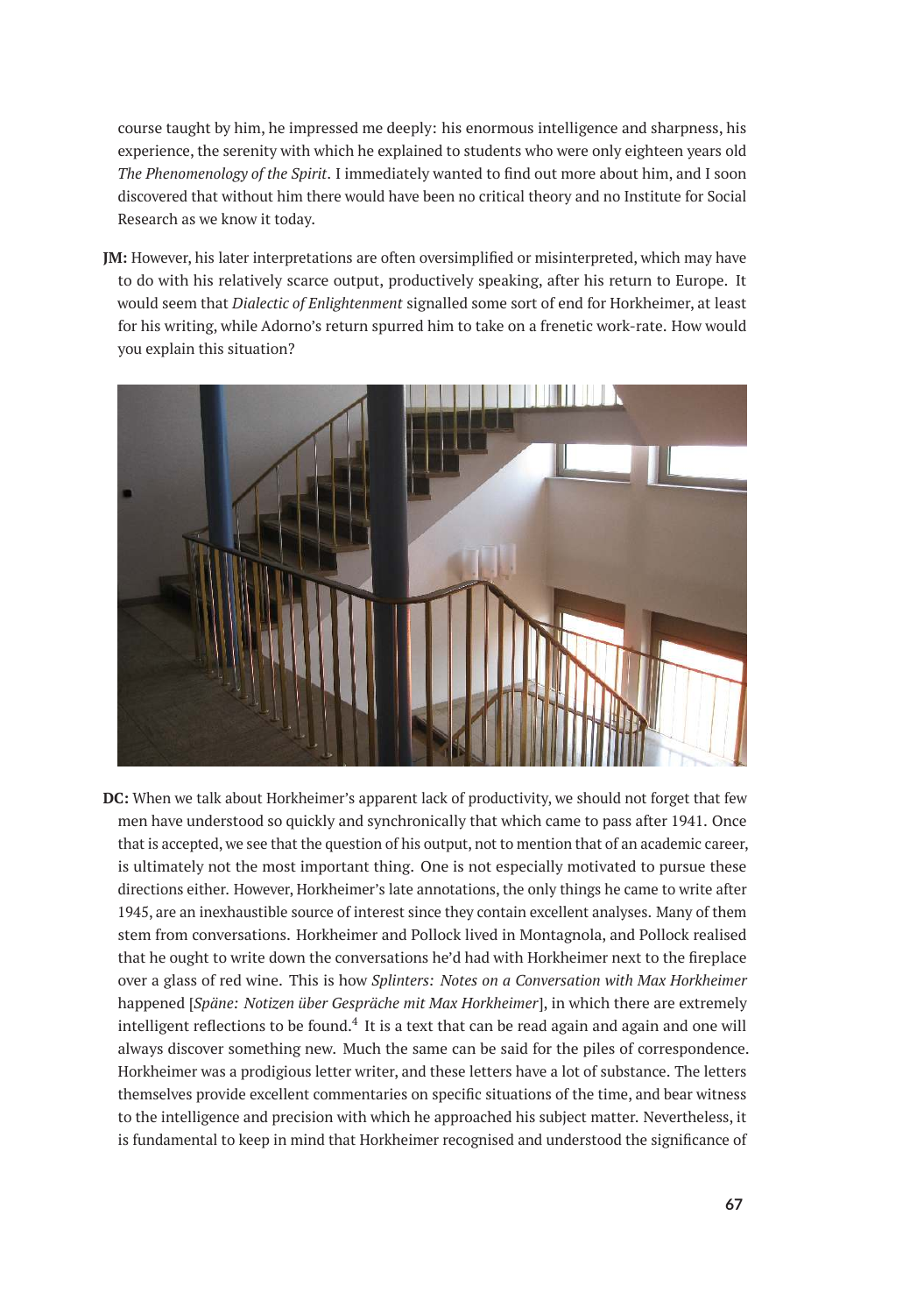course taught by him, he impressed me deeply: his enormous intelligence and sharpness, his experience, the serenity with which he explained to students who were only eighteen years old *The Phenomenology of the Spirit*. I immediately wanted to find out more about him, and I soon discovered that without him there would have been no critical theory and no Institute for Social Research as we know it today.

**JM:** However, his later interpretations are often oversimplified or misinterpreted, which may have to do with his relatively scarce output, productively speaking, after his return to Europe. It would seem that *Dialectic of Enlightenment* signalled some sort of end for Horkheimer, at least for his writing, while Adorno's return spurred him to take on a frenetic work-rate. How would you explain this situation?



**DC:** When we talk about Horkheimer's apparent lack of productivity, we should not forget that few men have understood so quickly and synchronically that which came to pass after 1941. Once that is accepted, we see that the question of his output, not to mention that of an academic career, is ultimately not the most important thing. One is not especially motivated to pursue these directions either. However, Horkheimer's late annotations, the only things he came to write after 1945, are an inexhaustible source of interest since they contain excellent analyses. Many of them stem from conversations. Horkheimer and Pollock lived in Montagnola, and Pollock realised that he ought to write down the conversations he'd had with Horkheimer next to the fireplace over a glass of red wine. This is how *Splinters: Notes on a Conversation with Max Horkheimer* happened [*Späne: Notizen über Gespräche mit Max Horkheimer*], in which there are extremely intelligent reflections to be found. $4\,$  It is a text that can be read again and again and one will always discover something new. Much the same can be said for the piles of correspondence. Horkheimer was a prodigious letter writer, and these letters have a lot of substance. The letters themselves provide excellent commentaries on specific situations of the time, and bear witness to the intelligence and precision with which he approached his subject matter. Nevertheless, it is fundamental to keep in mind that Horkheimer recognised and understood the significance of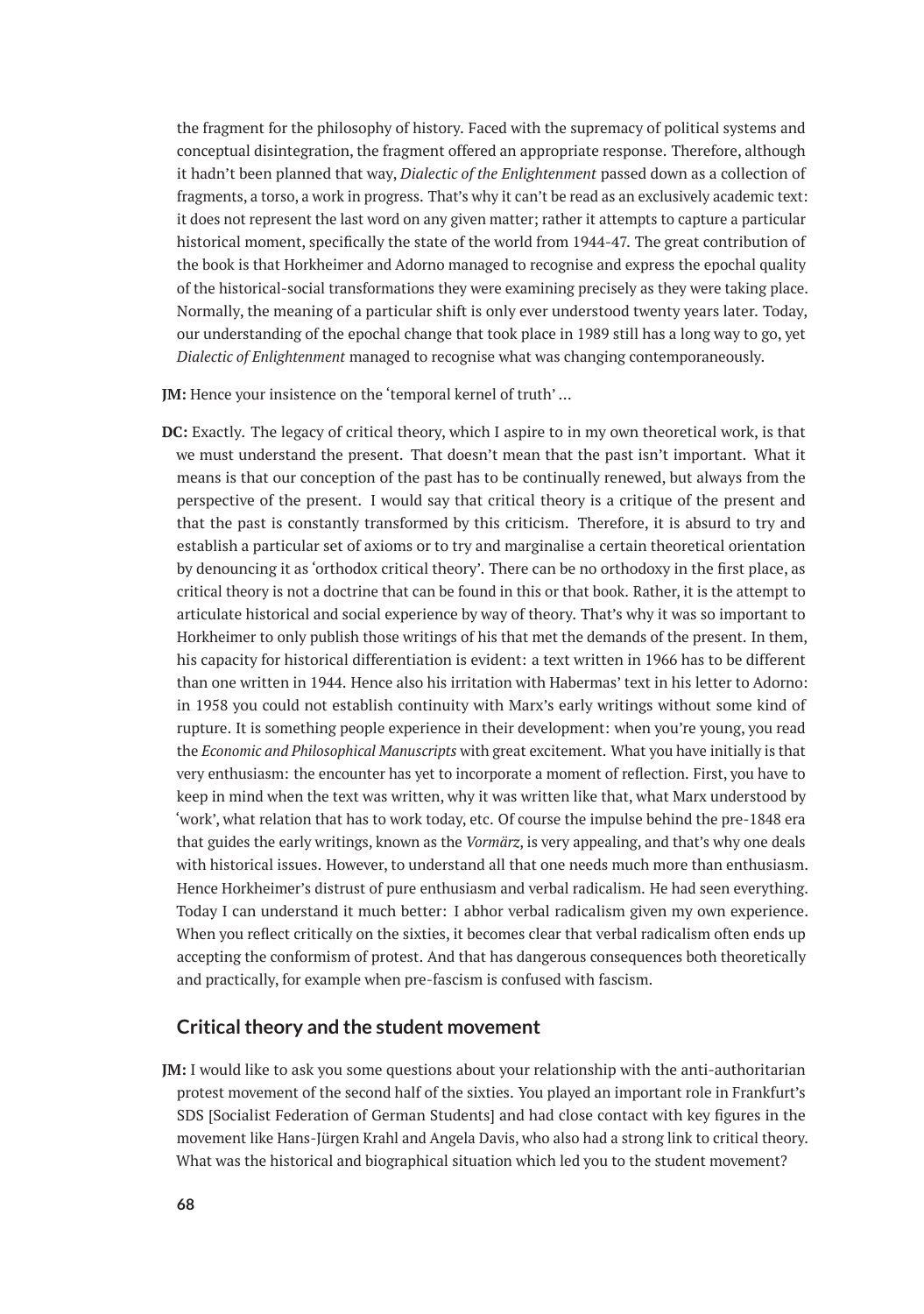the fragment for the philosophy of history. Faced with the supremacy of political systems and conceptual disintegration, the fragment offered an appropriate response. Therefore, although it hadn't been planned that way, *Dialectic of the Enlightenment* passed down as a collection of fragments, a torso, a work in progress. That's why it can't be read as an exclusively academic text: it does not represent the last word on any given matter; rather it attempts to capture a particular historical moment, specifically the state of the world from 1944-47. The great contribution of the book is that Horkheimer and Adorno managed to recognise and express the epochal quality of the historical-social transformations they were examining precisely as they were taking place. Normally, the meaning of a particular shift is only ever understood twenty years later. Today, our understanding of the epochal change that took place in 1989 still has a long way to go, yet *Dialectic of Enlightenment* managed to recognise what was changing contemporaneously.

**JM:** Hence your insistence on the 'temporal kernel of truth' …

**DC:** Exactly. The legacy of critical theory, which I aspire to in my own theoretical work, is that we must understand the present. That doesn't mean that the past isn't important. What it means is that our conception of the past has to be continually renewed, but always from the perspective of the present. I would say that critical theory is a critique of the present and that the past is constantly transformed by this criticism. Therefore, it is absurd to try and establish a particular set of axioms or to try and marginalise a certain theoretical orientation by denouncing it as 'orthodox critical theory'. There can be no orthodoxy in the first place, as critical theory is not a doctrine that can be found in this or that book. Rather, it is the attempt to articulate historical and social experience by way of theory. That's why it was so important to Horkheimer to only publish those writings of his that met the demands of the present. In them, his capacity for historical differentiation is evident: a text written in 1966 has to be different than one written in 1944. Hence also his irritation with Habermas' text in his letter to Adorno: in 1958 you could not establish continuity with Marx's early writings without some kind of rupture. It is something people experience in their development: when you're young, you read the *Economic and Philosophical Manuscripts* with great excitement. What you have initially is that very enthusiasm: the encounter has yet to incorporate a moment of reflection. First, you have to keep in mind when the text was written, why it was written like that, what Marx understood by 'work', what relation that has to work today, etc. Of course the impulse behind the pre-1848 era that guides the early writings, known as the *Vormärz*, is very appealing, and that's why one deals with historical issues. However, to understand all that one needs much more than enthusiasm. Hence Horkheimer's distrust of pure enthusiasm and verbal radicalism. He had seen everything. Today I can understand it much better: I abhor verbal radicalism given my own experience. When you reflect critically on the sixties, it becomes clear that verbal radicalism often ends up accepting the conformism of protest. And that has dangerous consequences both theoretically and practically, for example when pre-fascism is confused with fascism.

#### **Critical theory and the student movement**

**JM:** I would like to ask you some questions about your relationship with the anti-authoritarian protest movement of the second half of the sixties. You played an important role in Frankfurt's SDS [Socialist Federation of German Students] and had close contact with key figures in the movement like Hans-Jürgen Krahl and Angela Davis, who also had a strong link to critical theory. What was the historical and biographical situation which led you to the student movement?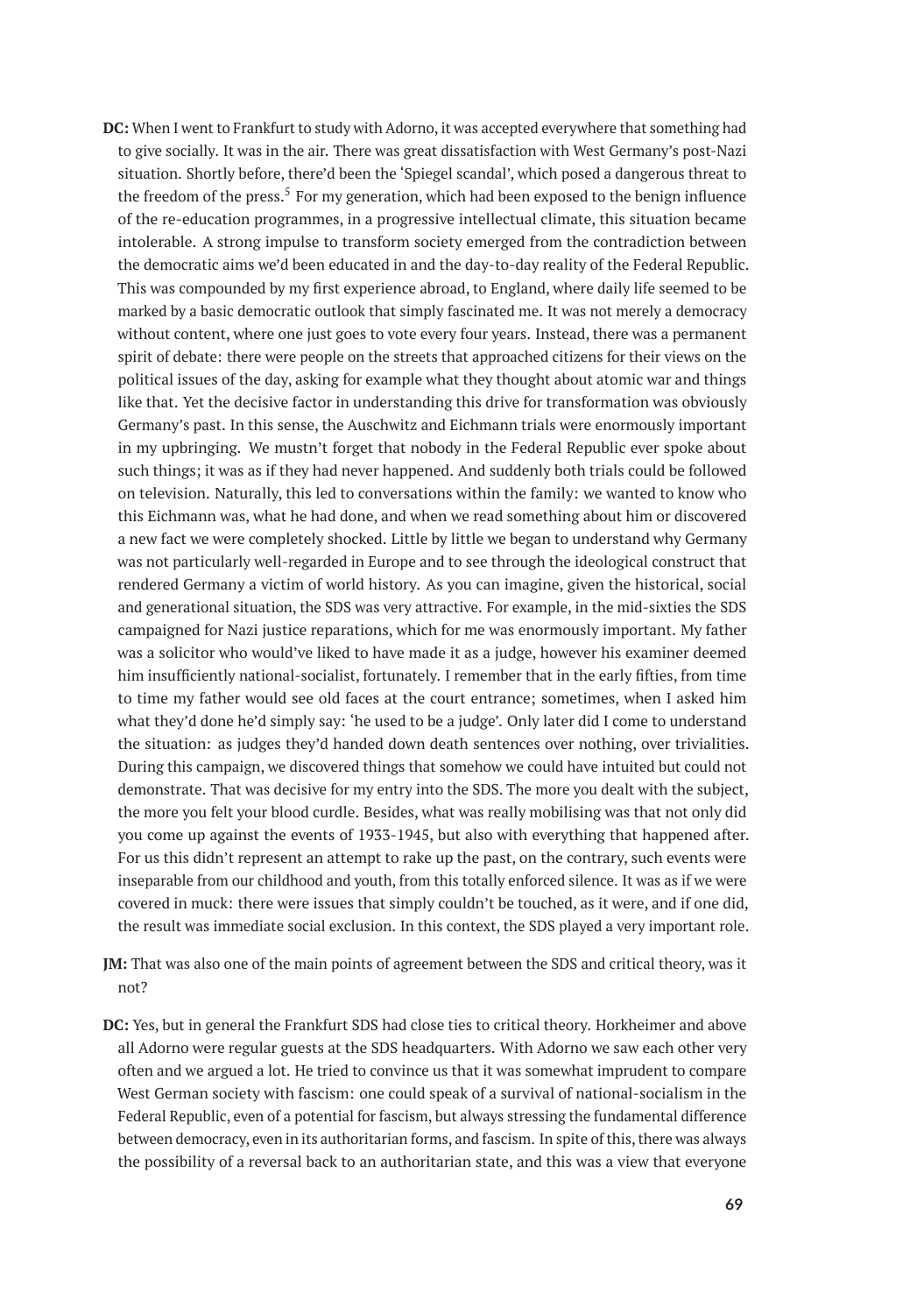- **DC:** When I went to Frankfurt to study with Adorno, it was accepted everywhere that something had to give socially. It was in the air. There was great dissatisfaction with West Germany's post-Nazi situation. Shortly before, there'd been the 'Spiegel scandal', which posed a dangerous threat to the freedom of the press.<sup>5</sup> For my generation, which had been exposed to the benign influence of the re-education programmes, in a progressive intellectual climate, this situation became intolerable. A strong impulse to transform society emerged from the contradiction between the democratic aims we'd been educated in and the day-to-day reality of the Federal Republic. This was compounded by my first experience abroad, to England, where daily life seemed to be marked by a basic democratic outlook that simply fascinated me. It was not merely a democracy without content, where one just goes to vote every four years. Instead, there was a permanent spirit of debate: there were people on the streets that approached citizens for their views on the political issues of the day, asking for example what they thought about atomic war and things like that. Yet the decisive factor in understanding this drive for transformation was obviously Germany's past. In this sense, the Auschwitz and Eichmann trials were enormously important in my upbringing. We mustn't forget that nobody in the Federal Republic ever spoke about such things; it was as if they had never happened. And suddenly both trials could be followed on television. Naturally, this led to conversations within the family: we wanted to know who this Eichmann was, what he had done, and when we read something about him or discovered a new fact we were completely shocked. Little by little we began to understand why Germany was not particularly well-regarded in Europe and to see through the ideological construct that rendered Germany a victim of world history. As you can imagine, given the historical, social and generational situation, the SDS was very attractive. For example, in the mid-sixties the SDS campaigned for Nazi justice reparations, which for me was enormously important. My father was a solicitor who would've liked to have made it as a judge, however his examiner deemed him insufficiently national-socialist, fortunately. I remember that in the early fifties, from time to time my father would see old faces at the court entrance; sometimes, when I asked him what they'd done he'd simply say: 'he used to be a judge'. Only later did I come to understand the situation: as judges they'd handed down death sentences over nothing, over trivialities. During this campaign, we discovered things that somehow we could have intuited but could not demonstrate. That was decisive for my entry into the SDS. The more you dealt with the subject, the more you felt your blood curdle. Besides, what was really mobilising was that not only did you come up against the events of 1933-1945, but also with everything that happened after. For us this didn't represent an attempt to rake up the past, on the contrary, such events were inseparable from our childhood and youth, from this totally enforced silence. It was as if we were covered in muck: there were issues that simply couldn't be touched, as it were, and if one did, the result was immediate social exclusion. In this context, the SDS played a very important role.
- **JM:** That was also one of the main points of agreement between the SDS and critical theory, was it not?
- **DC:** Yes, but in general the Frankfurt SDS had close ties to critical theory. Horkheimer and above all Adorno were regular guests at the SDS headquarters. With Adorno we saw each other very often and we argued a lot. He tried to convince us that it was somewhat imprudent to compare West German society with fascism: one could speak of a survival of national-socialism in the Federal Republic, even of a potential for fascism, but always stressing the fundamental difference between democracy, even in its authoritarian forms, and fascism. In spite of this, there was always the possibility of a reversal back to an authoritarian state, and this was a view that everyone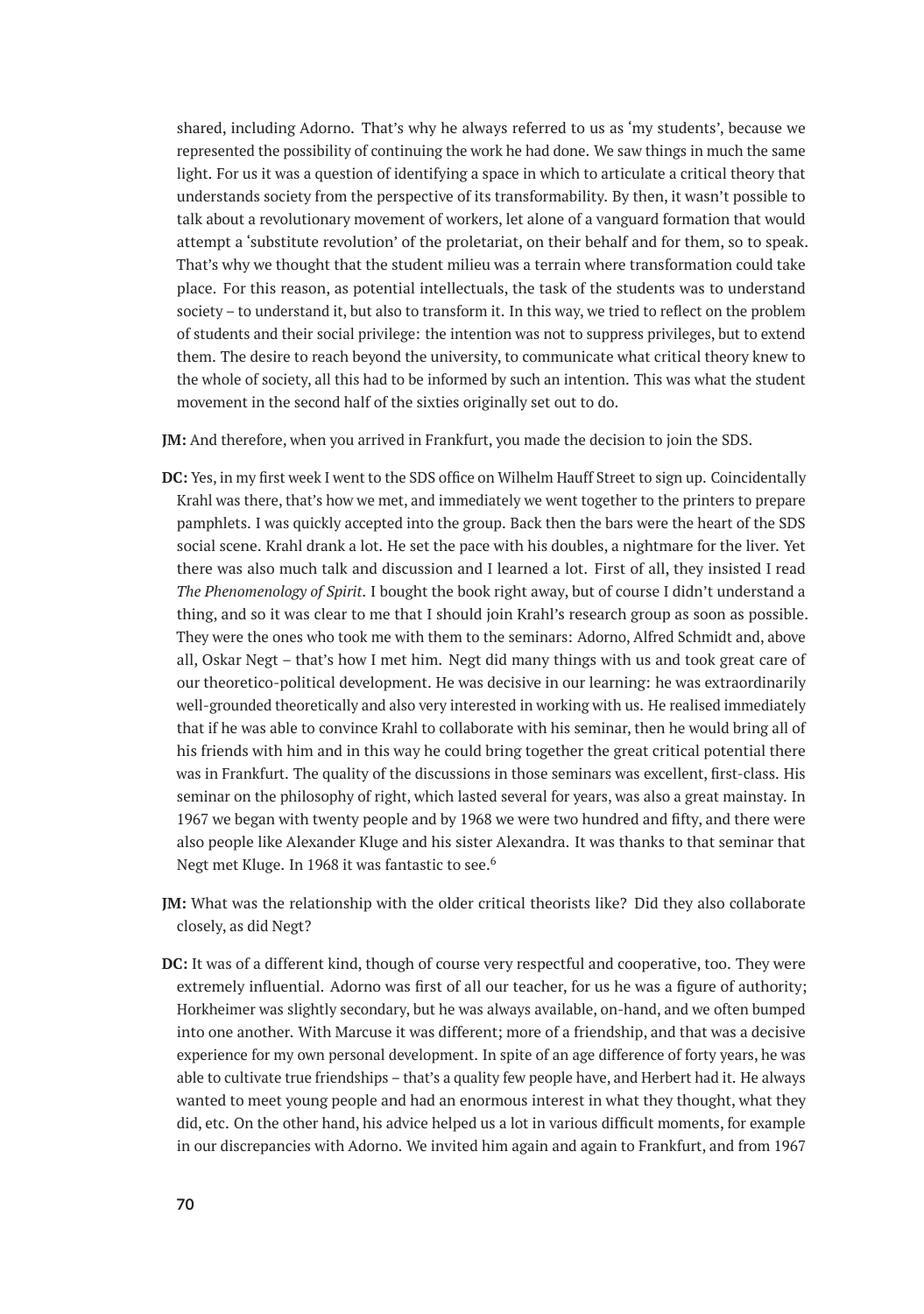shared, including Adorno. That's why he always referred to us as 'my students', because we represented the possibility of continuing the work he had done. We saw things in much the same light. For us it was a question of identifying a space in which to articulate a critical theory that understands society from the perspective of its transformability. By then, it wasn't possible to talk about a revolutionary movement of workers, let alone of a vanguard formation that would attempt a 'substitute revolution' of the proletariat, on their behalf and for them, so to speak. That's why we thought that the student milieu was a terrain where transformation could take place. For this reason, as potential intellectuals, the task of the students was to understand society – to understand it, but also to transform it. In this way, we tried to reflect on the problem of students and their social privilege: the intention was not to suppress privileges, but to extend them. The desire to reach beyond the university, to communicate what critical theory knew to the whole of society, all this had to be informed by such an intention. This was what the student movement in the second half of the sixties originally set out to do.

**JM:** And therefore, when you arrived in Frankfurt, you made the decision to join the SDS.

- **DC:** Yes, in my first week I went to the SDS office on Wilhelm Hauff Street to sign up. Coincidentally Krahl was there, that's how we met, and immediately we went together to the printers to prepare pamphlets. I was quickly accepted into the group. Back then the bars were the heart of the SDS social scene. Krahl drank a lot. He set the pace with his doubles, a nightmare for the liver. Yet there was also much talk and discussion and I learned a lot. First of all, they insisted I read *The Phenomenology of Spirit*. I bought the book right away, but of course I didn't understand a thing, and so it was clear to me that I should join Krahl's research group as soon as possible. They were the ones who took me with them to the seminars: Adorno, Alfred Schmidt and, above all, Oskar Negt – that's how I met him. Negt did many things with us and took great care of our theoretico-political development. He was decisive in our learning: he was extraordinarily well-grounded theoretically and also very interested in working with us. He realised immediately that if he was able to convince Krahl to collaborate with his seminar, then he would bring all of his friends with him and in this way he could bring together the great critical potential there was in Frankfurt. The quality of the discussions in those seminars was excellent, first-class. His seminar on the philosophy of right, which lasted several for years, was also a great mainstay. In 1967 we began with twenty people and by 1968 we were two hundred and fifty, and there were also people like Alexander Kluge and his sister Alexandra. It was thanks to that seminar that Negt met Kluge. In 1968 it was fantastic to see.<sup>6</sup>
- **JM:** What was the relationship with the older critical theorists like? Did they also collaborate closely, as did Negt?
- **DC:** It was of a different kind, though of course very respectful and cooperative, too. They were extremely influential. Adorno was first of all our teacher, for us he was a figure of authority; Horkheimer was slightly secondary, but he was always available, on-hand, and we often bumped into one another. With Marcuse it was different; more of a friendship, and that was a decisive experience for my own personal development. In spite of an age difference of forty years, he was able to cultivate true friendships – that's a quality few people have, and Herbert had it. He always wanted to meet young people and had an enormous interest in what they thought, what they did, etc. On the other hand, his advice helped us a lot in various difficult moments, for example in our discrepancies with Adorno. We invited him again and again to Frankfurt, and from 1967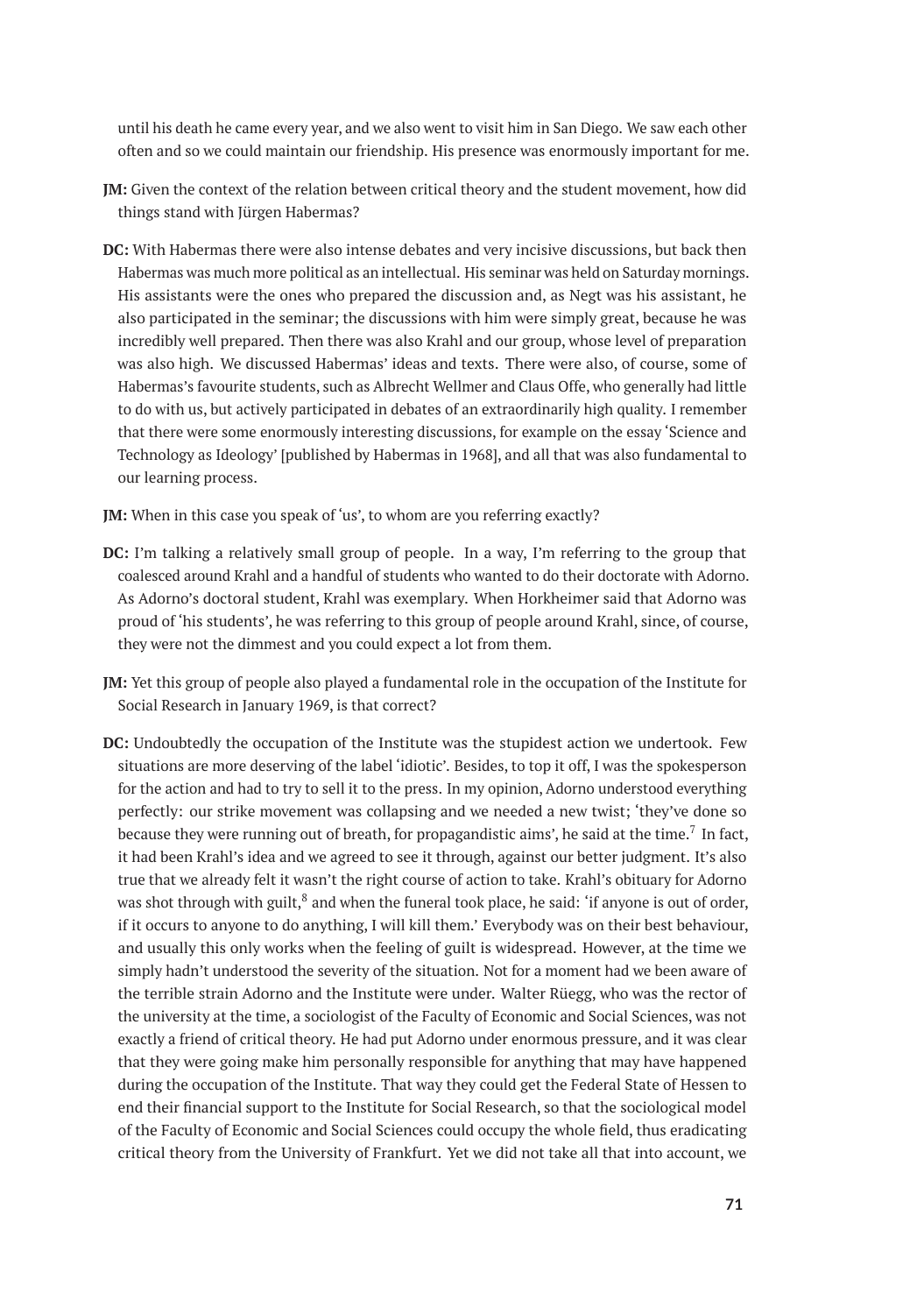until his death he came every year, and we also went to visit him in San Diego. We saw each other often and so we could maintain our friendship. His presence was enormously important for me.

- **JM:** Given the context of the relation between critical theory and the student movement, how did things stand with Jürgen Habermas?
- **DC:** With Habermas there were also intense debates and very incisive discussions, but back then Habermas was much more political as an intellectual. His seminar was held on Saturday mornings. His assistants were the ones who prepared the discussion and, as Negt was his assistant, he also participated in the seminar; the discussions with him were simply great, because he was incredibly well prepared. Then there was also Krahl and our group, whose level of preparation was also high. We discussed Habermas' ideas and texts. There were also, of course, some of Habermas's favourite students, such as Albrecht Wellmer and Claus Offe, who generally had little to do with us, but actively participated in debates of an extraordinarily high quality. I remember that there were some enormously interesting discussions, for example on the essay 'Science and Technology as Ideology' [published by Habermas in 1968], and all that was also fundamental to our learning process.

**JM:** When in this case you speak of 'us', to whom are you referring exactly?

- **DC:** I'm talking a relatively small group of people. In a way, I'm referring to the group that coalesced around Krahl and a handful of students who wanted to do their doctorate with Adorno. As Adorno's doctoral student, Krahl was exemplary. When Horkheimer said that Adorno was proud of 'his students', he was referring to this group of people around Krahl, since, of course, they were not the dimmest and you could expect a lot from them.
- **JM:** Yet this group of people also played a fundamental role in the occupation of the Institute for Social Research in January 1969, is that correct?
- **DC:** Undoubtedly the occupation of the Institute was the stupidest action we undertook. Few situations are more deserving of the label 'idiotic'. Besides, to top it off, I was the spokesperson for the action and had to try to sell it to the press. In my opinion, Adorno understood everything perfectly: our strike movement was collapsing and we needed a new twist; 'they've done so because they were running out of breath, for propagandistic aims', he said at the time. $^7$  In fact, it had been Krahl's idea and we agreed to see it through, against our better judgment. It's also true that we already felt it wasn't the right course of action to take. Krahl's obituary for Adorno was shot through with guilt, $^8$  and when the funeral took place, he said: 'if anyone is out of order, if it occurs to anyone to do anything, I will kill them.' Everybody was on their best behaviour, and usually this only works when the feeling of guilt is widespread. However, at the time we simply hadn't understood the severity of the situation. Not for a moment had we been aware of the terrible strain Adorno and the Institute were under. Walter Rüegg, who was the rector of the university at the time, a sociologist of the Faculty of Economic and Social Sciences, was not exactly a friend of critical theory. He had put Adorno under enormous pressure, and it was clear that they were going make him personally responsible for anything that may have happened during the occupation of the Institute. That way they could get the Federal State of Hessen to end their financial support to the Institute for Social Research, so that the sociological model of the Faculty of Economic and Social Sciences could occupy the whole field, thus eradicating critical theory from the University of Frankfurt. Yet we did not take all that into account, we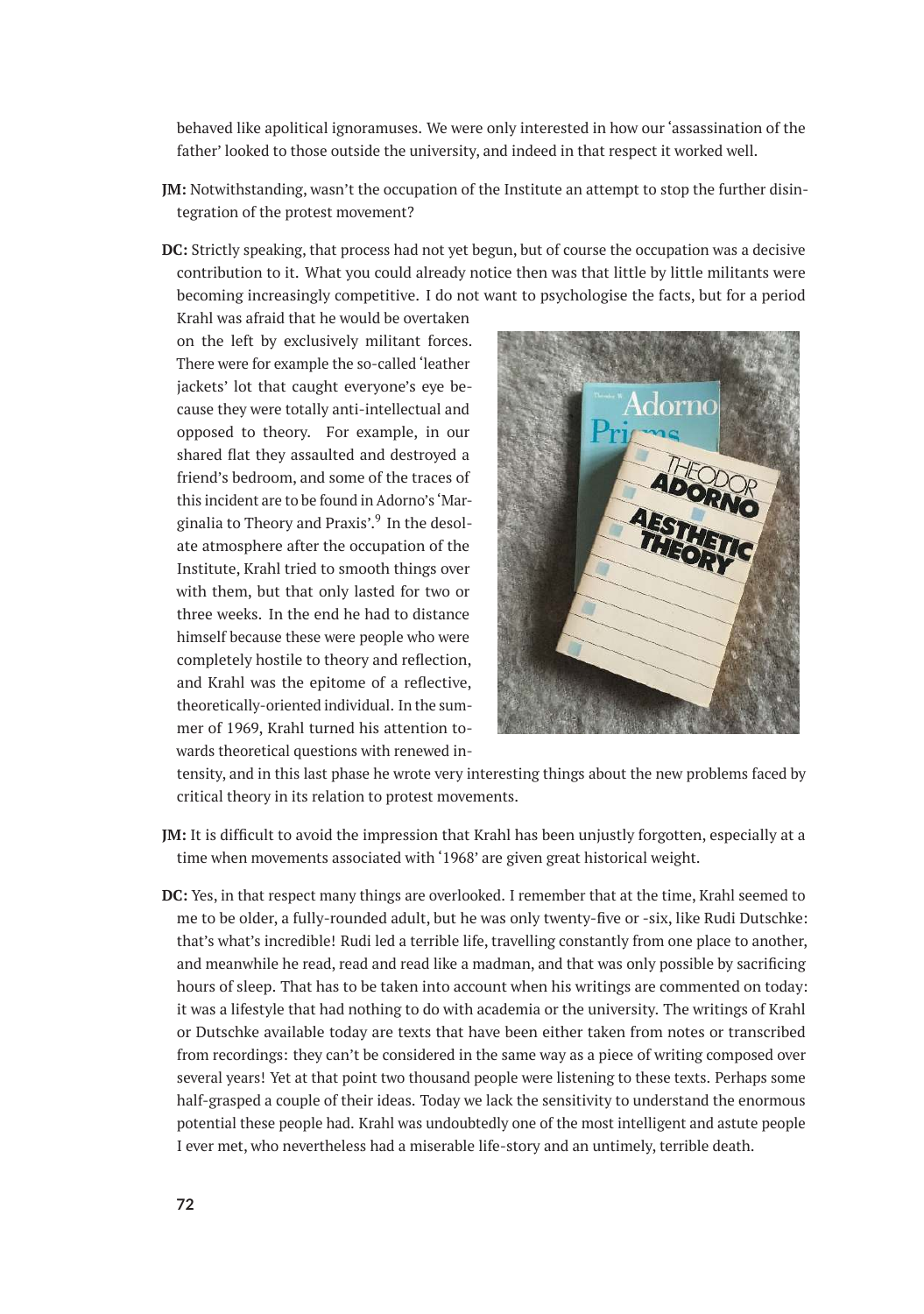behaved like apolitical ignoramuses. We were only interested in how our 'assassination of the father' looked to those outside the university, and indeed in that respect it worked well.

- **JM:** Notwithstanding, wasn't the occupation of the Institute an attempt to stop the further disintegration of the protest movement?
- **DC:** Strictly speaking, that process had not yet begun, but of course the occupation was a decisive contribution to it. What you could already notice then was that little by little militants were becoming increasingly competitive. I do not want to psychologise the facts, but for a period

Krahl was afraid that he would be overtaken on the left by exclusively militant forces. There were for example the so-called 'leather jackets' lot that caught everyone's eye because they were totally anti-intellectual and opposed to theory. For example, in our shared flat they assaulted and destroyed a friend's bedroom, and some of the traces of this incident are to be found in Adorno's 'Marginalia to Theory and Praxis'.<sup>9</sup> In the desolate atmosphere after the occupation of the Institute, Krahl tried to smooth things over with them, but that only lasted for two or three weeks. In the end he had to distance himself because these were people who were completely hostile to theory and reflection, and Krahl was the epitome of a reflective, theoretically-oriented individual. In the summer of 1969, Krahl turned his attention towards theoretical questions with renewed in-



tensity, and in this last phase he wrote very interesting things about the new problems faced by critical theory in its relation to protest movements.

- **JM:** It is difficult to avoid the impression that Krahl has been unjustly forgotten, especially at a time when movements associated with '1968' are given great historical weight.
- **DC:** Yes, in that respect many things are overlooked. I remember that at the time, Krahl seemed to me to be older, a fully-rounded adult, but he was only twenty-five or -six, like Rudi Dutschke: that's what's incredible! Rudi led a terrible life, travelling constantly from one place to another, and meanwhile he read, read and read like a madman, and that was only possible by sacrificing hours of sleep. That has to be taken into account when his writings are commented on today: it was a lifestyle that had nothing to do with academia or the university. The writings of Krahl or Dutschke available today are texts that have been either taken from notes or transcribed from recordings: they can't be considered in the same way as a piece of writing composed over several years! Yet at that point two thousand people were listening to these texts. Perhaps some half-grasped a couple of their ideas. Today we lack the sensitivity to understand the enormous potential these people had. Krahl was undoubtedly one of the most intelligent and astute people I ever met, who nevertheless had a miserable life-story and an untimely, terrible death.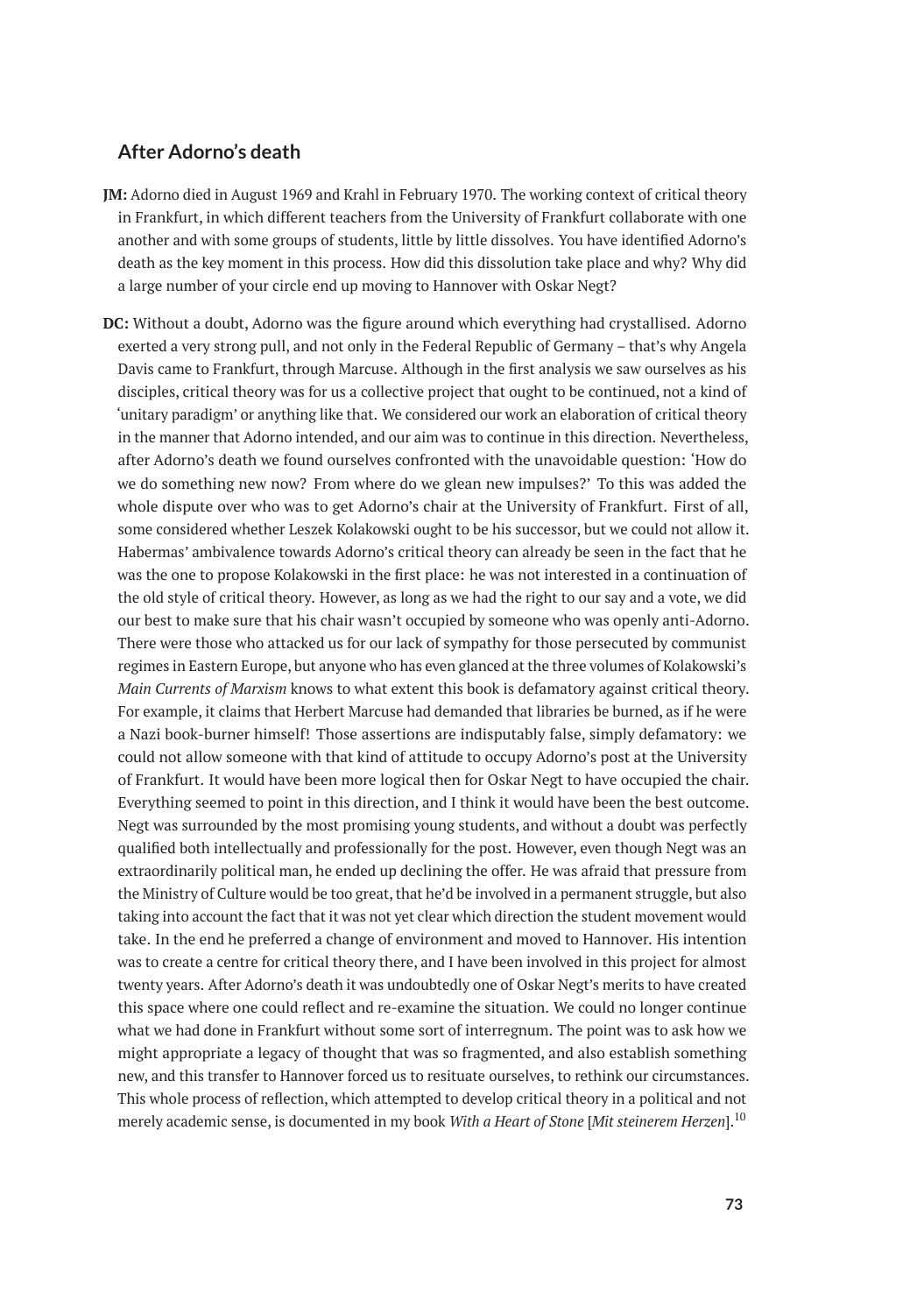### **After Adorno's death**

- **JM:** Adorno died in August 1969 and Krahl in February 1970. The working context of critical theory in Frankfurt, in which different teachers from the University of Frankfurt collaborate with one another and with some groups of students, little by little dissolves. You have identified Adorno's death as the key moment in this process. How did this dissolution take place and why? Why did a large number of your circle end up moving to Hannover with Oskar Negt?
- **DC:** Without a doubt, Adorno was the figure around which everything had crystallised. Adorno exerted a very strong pull, and not only in the Federal Republic of Germany – that's why Angela Davis came to Frankfurt, through Marcuse. Although in the first analysis we saw ourselves as his disciples, critical theory was for us a collective project that ought to be continued, not a kind of 'unitary paradigm' or anything like that. We considered our work an elaboration of critical theory in the manner that Adorno intended, and our aim was to continue in this direction. Nevertheless, after Adorno's death we found ourselves confronted with the unavoidable question: 'How do we do something new now? From where do we glean new impulses?' To this was added the whole dispute over who was to get Adorno's chair at the University of Frankfurt. First of all, some considered whether Leszek Kolakowski ought to be his successor, but we could not allow it. Habermas' ambivalence towards Adorno's critical theory can already be seen in the fact that he was the one to propose Kolakowski in the first place: he was not interested in a continuation of the old style of critical theory. However, as long as we had the right to our say and a vote, we did our best to make sure that his chair wasn't occupied by someone who was openly anti-Adorno. There were those who attacked us for our lack of sympathy for those persecuted by communist regimes in Eastern Europe, but anyone who has even glanced at the three volumes of Kolakowski's *Main Currents of Marxism* knows to what extent this book is defamatory against critical theory. For example, it claims that Herbert Marcuse had demanded that libraries be burned, as if he were a Nazi book-burner himself! Those assertions are indisputably false, simply defamatory: we could not allow someone with that kind of attitude to occupy Adorno's post at the University of Frankfurt. It would have been more logical then for Oskar Negt to have occupied the chair. Everything seemed to point in this direction, and I think it would have been the best outcome. Negt was surrounded by the most promising young students, and without a doubt was perfectly qualified both intellectually and professionally for the post. However, even though Negt was an extraordinarily political man, he ended up declining the offer. He was afraid that pressure from the Ministry of Culture would be too great, that he'd be involved in a permanent struggle, but also taking into account the fact that it was not yet clear which direction the student movement would take. In the end he preferred a change of environment and moved to Hannover. His intention was to create a centre for critical theory there, and I have been involved in this project for almost twenty years. After Adorno's death it was undoubtedly one of Oskar Negt's merits to have created this space where one could reflect and re-examine the situation. We could no longer continue what we had done in Frankfurt without some sort of interregnum. The point was to ask how we might appropriate a legacy of thought that was so fragmented, and also establish something new, and this transfer to Hannover forced us to resituate ourselves, to rethink our circumstances. This whole process of reflection, which attempted to develop critical theory in a political and not merely academic sense, is documented in my book *With a Heart of Stone* [*Mit steinerem Herzen*].<sup>10</sup>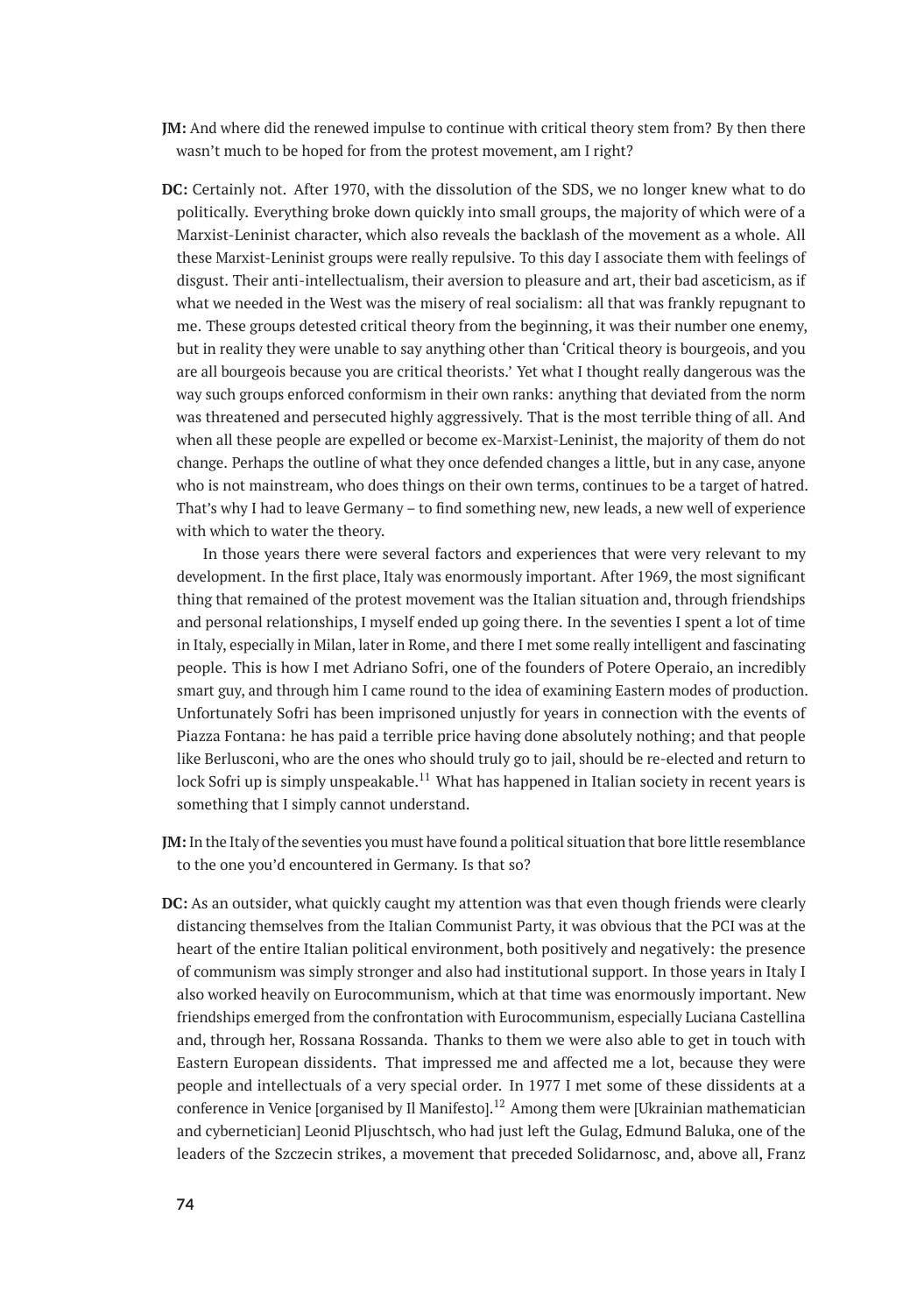- **JM:** And where did the renewed impulse to continue with critical theory stem from? By then there wasn't much to be hoped for from the protest movement, am I right?
- **DC:** Certainly not. After 1970, with the dissolution of the SDS, we no longer knew what to do politically. Everything broke down quickly into small groups, the majority of which were of a Marxist-Leninist character, which also reveals the backlash of the movement as a whole. All these Marxist-Leninist groups were really repulsive. To this day I associate them with feelings of disgust. Their anti-intellectualism, their aversion to pleasure and art, their bad asceticism, as if what we needed in the West was the misery of real socialism: all that was frankly repugnant to me. These groups detested critical theory from the beginning, it was their number one enemy, but in reality they were unable to say anything other than 'Critical theory is bourgeois, and you are all bourgeois because you are critical theorists.' Yet what I thought really dangerous was the way such groups enforced conformism in their own ranks: anything that deviated from the norm was threatened and persecuted highly aggressively. That is the most terrible thing of all. And when all these people are expelled or become ex-Marxist-Leninist, the majority of them do not change. Perhaps the outline of what they once defended changes a little, but in any case, anyone who is not mainstream, who does things on their own terms, continues to be a target of hatred. That's why I had to leave Germany – to find something new, new leads, a new well of experience with which to water the theory.

In those years there were several factors and experiences that were very relevant to my development. In the first place, Italy was enormously important. After 1969, the most significant thing that remained of the protest movement was the Italian situation and, through friendships and personal relationships, I myself ended up going there. In the seventies I spent a lot of time in Italy, especially in Milan, later in Rome, and there I met some really intelligent and fascinating people. This is how I met Adriano Sofri, one of the founders of Potere Operaio, an incredibly smart guy, and through him I came round to the idea of examining Eastern modes of production. Unfortunately Sofri has been imprisoned unjustly for years in connection with the events of Piazza Fontana: he has paid a terrible price having done absolutely nothing; and that people like Berlusconi, who are the ones who should truly go to jail, should be re-elected and return to lock Sofri up is simply unspeakable.<sup>11</sup> What has happened in Italian society in recent years is something that I simply cannot understand.

- **JM:**In the Italy of the seventies you must have found a political situation that bore little resemblance to the one you'd encountered in Germany. Is that so?
- **DC:** As an outsider, what quickly caught my attention was that even though friends were clearly distancing themselves from the Italian Communist Party, it was obvious that the PCI was at the heart of the entire Italian political environment, both positively and negatively: the presence of communism was simply stronger and also had institutional support. In those years in Italy I also worked heavily on Eurocommunism, which at that time was enormously important. New friendships emerged from the confrontation with Eurocommunism, especially Luciana Castellina and, through her, Rossana Rossanda. Thanks to them we were also able to get in touch with Eastern European dissidents. That impressed me and affected me a lot, because they were people and intellectuals of a very special order. In 1977 I met some of these dissidents at a conference in Venice [organised by Il Manifesto].<sup>12</sup> Among them were [Ukrainian mathematician and cybernetician] Leonid Pljuschtsch, who had just left the Gulag, Edmund Baluka, one of the leaders of the Szczecin strikes, a movement that preceded Solidarnosc, and, above all, Franz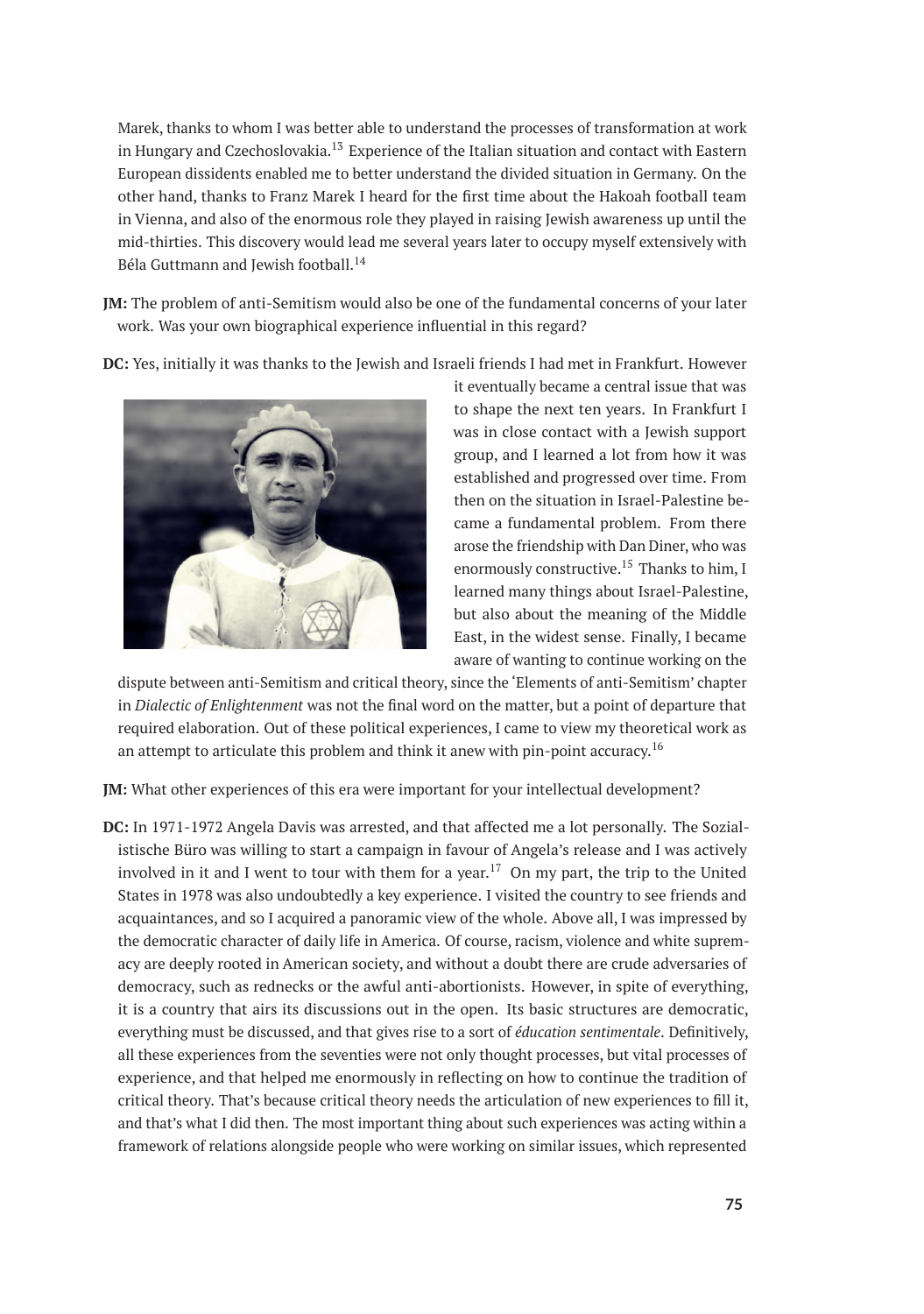Marek, thanks to whom I was better able to understand the processes of transformation at work in Hungary and Czechoslovakia.<sup>13</sup> Experience of the Italian situation and contact with Eastern European dissidents enabled me to better understand the divided situation in Germany. On the other hand, thanks to Franz Marek I heard for the first time about the Hakoah football team in Vienna, and also of the enormous role they played in raising Jewish awareness up until the mid-thirties. This discovery would lead me several years later to occupy myself extensively with Béla Guttmann and Jewish football.<sup>14</sup>

- **JM:** The problem of anti-Semitism would also be one of the fundamental concerns of your later work. Was your own biographical experience influential in this regard?
- **DC:** Yes, initially it was thanks to the Jewish and Israeli friends I had met in Frankfurt. However



it eventually became a central issue that was to shape the next ten years. In Frankfurt I was in close contact with a Jewish support group, and I learned a lot from how it was established and progressed over time. From then on the situation in Israel-Palestine became a fundamental problem. From there arose the friendship with Dan Diner, who was enormously constructive.<sup>15</sup> Thanks to him, I learned many things about Israel-Palestine, but also about the meaning of the Middle East, in the widest sense. Finally, I became aware of wanting to continue working on the

dispute between anti-Semitism and critical theory, since the 'Elements of anti-Semitism' chapter in *Dialectic of Enlightenment* was not the final word on the matter, but a point of departure that required elaboration. Out of these political experiences, I came to view my theoretical work as an attempt to articulate this problem and think it anew with pin-point accuracy.<sup>16</sup>

**JM:** What other experiences of this era were important for your intellectual development?

**DC:** In 1971-1972 Angela Davis was arrested, and that affected me a lot personally. The Sozialistische Büro was willing to start a campaign in favour of Angela's release and I was actively involved in it and I went to tour with them for a year.<sup>17</sup> On my part, the trip to the United States in 1978 was also undoubtedly a key experience. I visited the country to see friends and acquaintances, and so I acquired a panoramic view of the whole. Above all, I was impressed by the democratic character of daily life in America. Of course, racism, violence and white supremacy are deeply rooted in American society, and without a doubt there are crude adversaries of democracy, such as rednecks or the awful anti-abortionists. However, in spite of everything, it is a country that airs its discussions out in the open. Its basic structures are democratic, everything must be discussed, and that gives rise to a sort of *éducation sentimentale*. Definitively, all these experiences from the seventies were not only thought processes, but vital processes of experience, and that helped me enormously in reflecting on how to continue the tradition of critical theory. That's because critical theory needs the articulation of new experiences to fill it, and that's what I did then. The most important thing about such experiences was acting within a framework of relations alongside people who were working on similar issues, which represented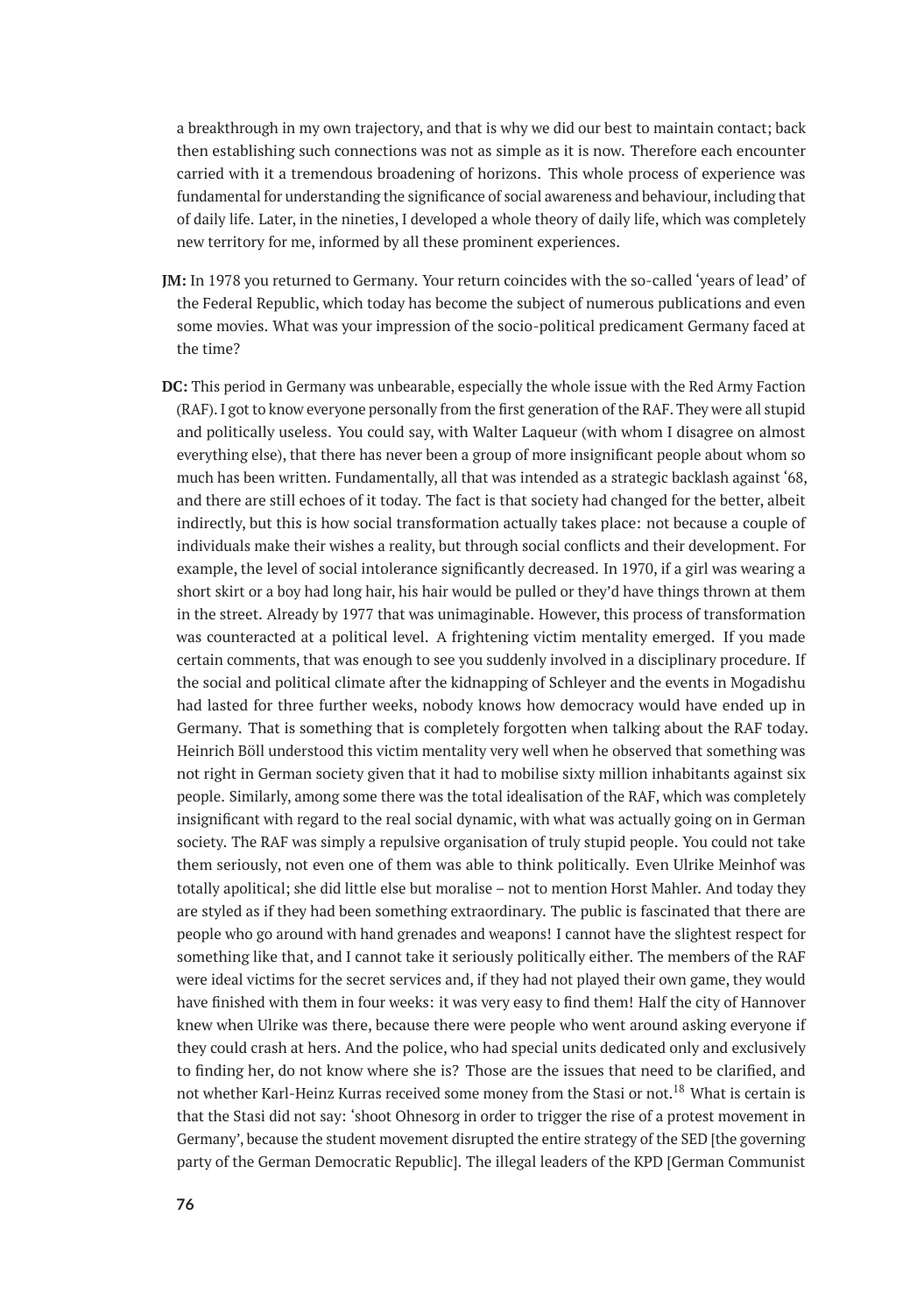a breakthrough in my own trajectory, and that is why we did our best to maintain contact; back then establishing such connections was not as simple as it is now. Therefore each encounter carried with it a tremendous broadening of horizons. This whole process of experience was fundamental for understanding the significance of social awareness and behaviour, including that of daily life. Later, in the nineties, I developed a whole theory of daily life, which was completely new territory for me, informed by all these prominent experiences.

- **JM:** In 1978 you returned to Germany. Your return coincides with the so-called 'years of lead' of the Federal Republic, which today has become the subject of numerous publications and even some movies. What was your impression of the socio-political predicament Germany faced at the time?
- **DC:** This period in Germany was unbearable, especially the whole issue with the Red Army Faction (RAF). I got to know everyone personally from the first generation of the RAF. They were all stupid and politically useless. You could say, with Walter Laqueur (with whom I disagree on almost everything else), that there has never been a group of more insignificant people about whom so much has been written. Fundamentally, all that was intended as a strategic backlash against '68, and there are still echoes of it today. The fact is that society had changed for the better, albeit indirectly, but this is how social transformation actually takes place: not because a couple of individuals make their wishes a reality, but through social conflicts and their development. For example, the level of social intolerance significantly decreased. In 1970, if a girl was wearing a short skirt or a boy had long hair, his hair would be pulled or they'd have things thrown at them in the street. Already by 1977 that was unimaginable. However, this process of transformation was counteracted at a political level. A frightening victim mentality emerged. If you made certain comments, that was enough to see you suddenly involved in a disciplinary procedure. If the social and political climate after the kidnapping of Schleyer and the events in Mogadishu had lasted for three further weeks, nobody knows how democracy would have ended up in Germany. That is something that is completely forgotten when talking about the RAF today. Heinrich Böll understood this victim mentality very well when he observed that something was not right in German society given that it had to mobilise sixty million inhabitants against six people. Similarly, among some there was the total idealisation of the RAF, which was completely insignificant with regard to the real social dynamic, with what was actually going on in German society. The RAF was simply a repulsive organisation of truly stupid people. You could not take them seriously, not even one of them was able to think politically. Even Ulrike Meinhof was totally apolitical; she did little else but moralise – not to mention Horst Mahler. And today they are styled as if they had been something extraordinary. The public is fascinated that there are people who go around with hand grenades and weapons! I cannot have the slightest respect for something like that, and I cannot take it seriously politically either. The members of the RAF were ideal victims for the secret services and, if they had not played their own game, they would have finished with them in four weeks: it was very easy to find them! Half the city of Hannover knew when Ulrike was there, because there were people who went around asking everyone if they could crash at hers. And the police, who had special units dedicated only and exclusively to finding her, do not know where she is? Those are the issues that need to be clarified, and not whether Karl-Heinz Kurras received some money from the Stasi or not.<sup>18</sup> What is certain is that the Stasi did not say: 'shoot Ohnesorg in order to trigger the rise of a protest movement in Germany', because the student movement disrupted the entire strategy of the SED [the governing party of the German Democratic Republic]. The illegal leaders of the KPD [German Communist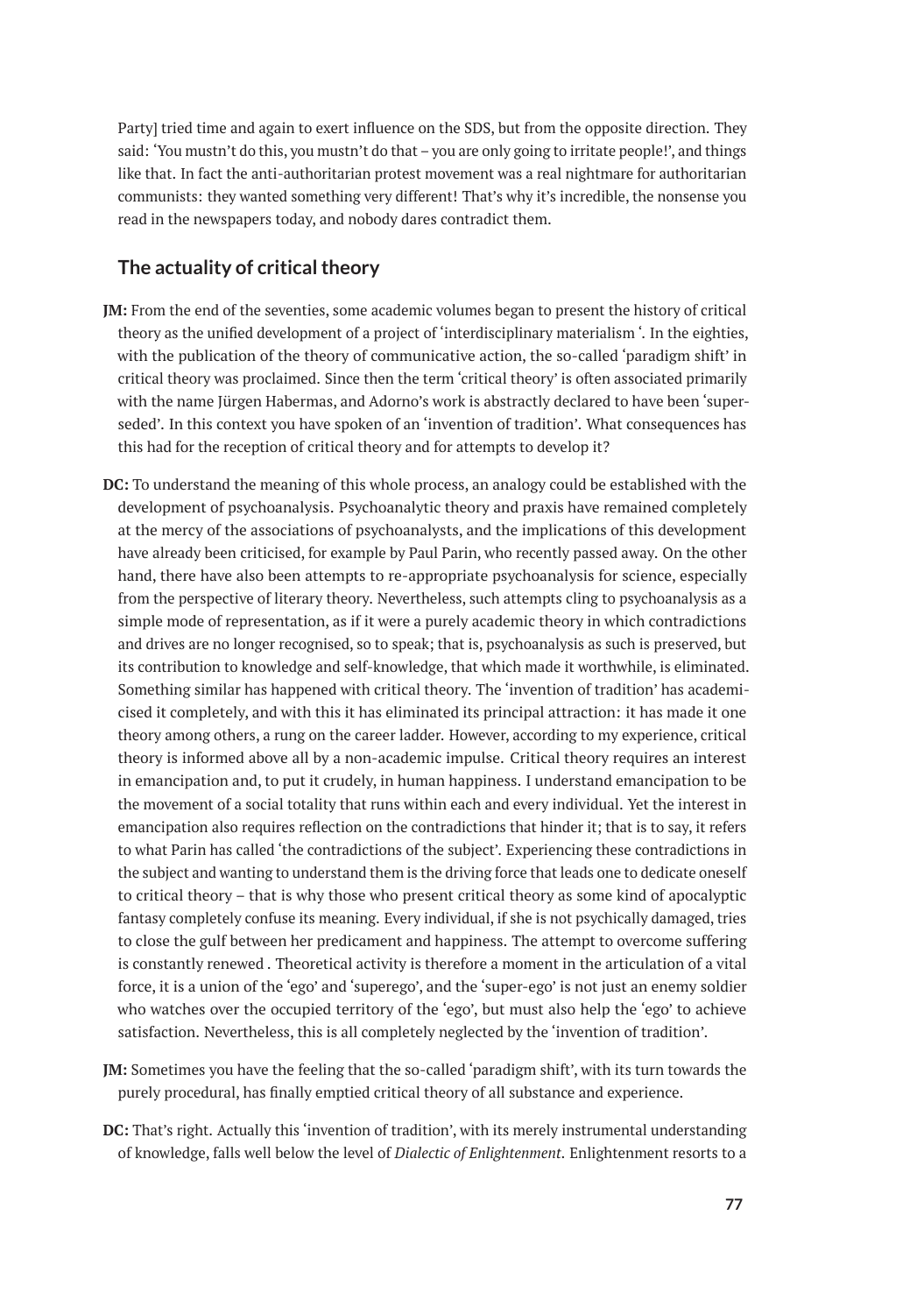Party] tried time and again to exert influence on the SDS, but from the opposite direction. They said: 'You mustn't do this, you mustn't do that – you are only going to irritate people!', and things like that. In fact the anti-authoritarian protest movement was a real nightmare for authoritarian communists: they wanted something very different! That's why it's incredible, the nonsense you read in the newspapers today, and nobody dares contradict them.

## **The actuality of critical theory**

- **JM:** From the end of the seventies, some academic volumes began to present the history of critical theory as the unified development of a project of 'interdisciplinary materialism '. In the eighties, with the publication of the theory of communicative action, the so-called 'paradigm shift' in critical theory was proclaimed. Since then the term 'critical theory' is often associated primarily with the name Jürgen Habermas, and Adorno's work is abstractly declared to have been 'superseded'. In this context you have spoken of an 'invention of tradition'. What consequences has this had for the reception of critical theory and for attempts to develop it?
- **DC:** To understand the meaning of this whole process, an analogy could be established with the development of psychoanalysis. Psychoanalytic theory and praxis have remained completely at the mercy of the associations of psychoanalysts, and the implications of this development have already been criticised, for example by Paul Parin, who recently passed away. On the other hand, there have also been attempts to re-appropriate psychoanalysis for science, especially from the perspective of literary theory. Nevertheless, such attempts cling to psychoanalysis as a simple mode of representation, as if it were a purely academic theory in which contradictions and drives are no longer recognised, so to speak; that is, psychoanalysis as such is preserved, but its contribution to knowledge and self-knowledge, that which made it worthwhile, is eliminated. Something similar has happened with critical theory. The 'invention of tradition' has academicised it completely, and with this it has eliminated its principal attraction: it has made it one theory among others, a rung on the career ladder. However, according to my experience, critical theory is informed above all by a non-academic impulse. Critical theory requires an interest in emancipation and, to put it crudely, in human happiness. I understand emancipation to be the movement of a social totality that runs within each and every individual. Yet the interest in emancipation also requires reflection on the contradictions that hinder it; that is to say, it refers to what Parin has called 'the contradictions of the subject'. Experiencing these contradictions in the subject and wanting to understand them is the driving force that leads one to dedicate oneself to critical theory – that is why those who present critical theory as some kind of apocalyptic fantasy completely confuse its meaning. Every individual, if she is not psychically damaged, tries to close the gulf between her predicament and happiness. The attempt to overcome suffering is constantly renewed . Theoretical activity is therefore a moment in the articulation of a vital force, it is a union of the 'ego' and 'superego', and the 'super-ego' is not just an enemy soldier who watches over the occupied territory of the 'ego', but must also help the 'ego' to achieve satisfaction. Nevertheless, this is all completely neglected by the 'invention of tradition'.
- **JM:** Sometimes you have the feeling that the so-called 'paradigm shift', with its turn towards the purely procedural, has finally emptied critical theory of all substance and experience.
- **DC:** That's right. Actually this 'invention of tradition', with its merely instrumental understanding of knowledge, falls well below the level of *Dialectic of Enlightenment*. Enlightenment resorts to a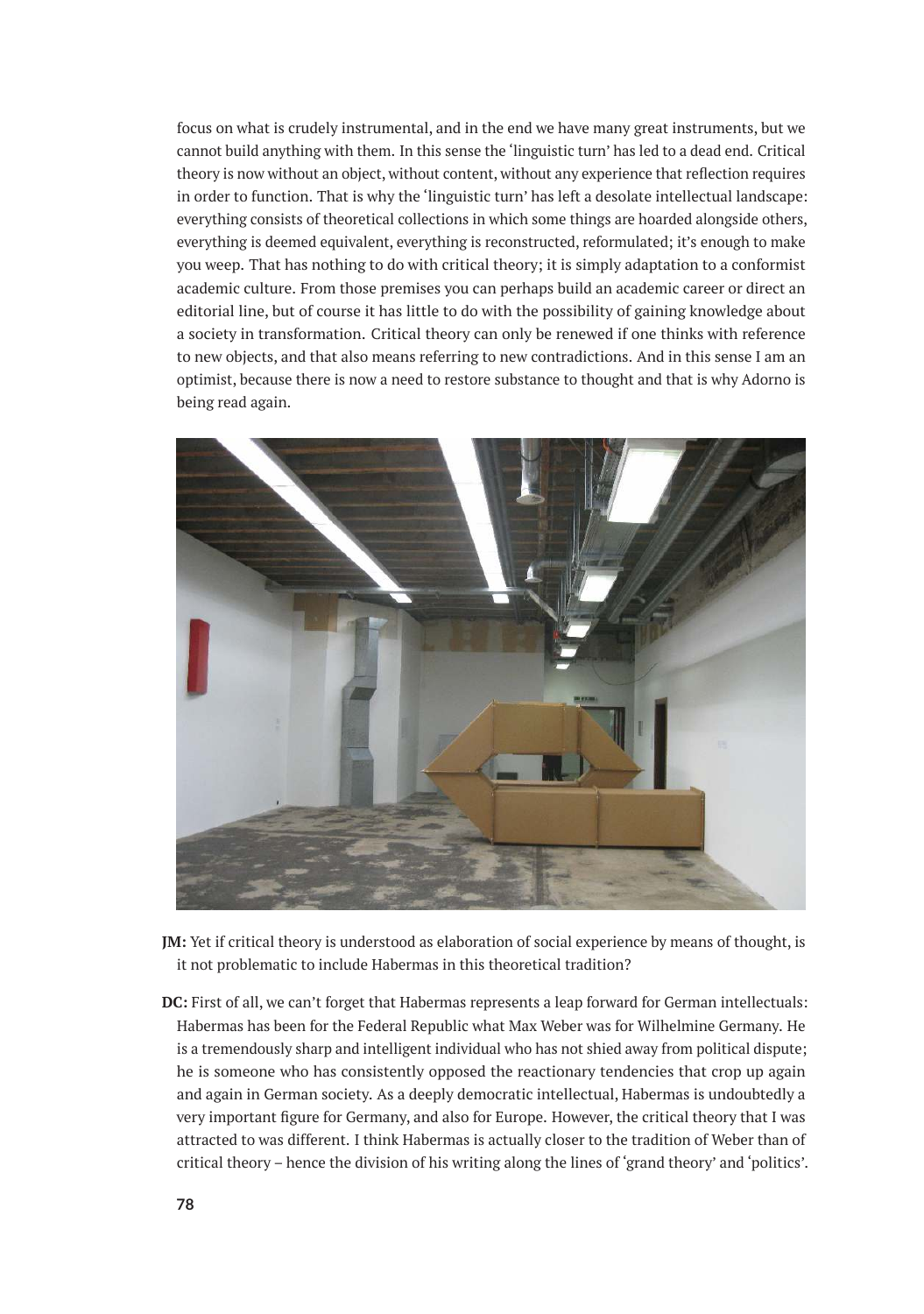focus on what is crudely instrumental, and in the end we have many great instruments, but we cannot build anything with them. In this sense the 'linguistic turn' has led to a dead end. Critical theory is now without an object, without content, without any experience that reflection requires in order to function. That is why the 'linguistic turn' has left a desolate intellectual landscape: everything consists of theoretical collections in which some things are hoarded alongside others, everything is deemed equivalent, everything is reconstructed, reformulated; it's enough to make you weep. That has nothing to do with critical theory; it is simply adaptation to a conformist academic culture. From those premises you can perhaps build an academic career or direct an editorial line, but of course it has little to do with the possibility of gaining knowledge about a society in transformation. Critical theory can only be renewed if one thinks with reference to new objects, and that also means referring to new contradictions. And in this sense I am an optimist, because there is now a need to restore substance to thought and that is why Adorno is being read again.



- **JM:** Yet if critical theory is understood as elaboration of social experience by means of thought, is it not problematic to include Habermas in this theoretical tradition?
- **DC:** First of all, we can't forget that Habermas represents a leap forward for German intellectuals: Habermas has been for the Federal Republic what Max Weber was for Wilhelmine Germany. He is a tremendously sharp and intelligent individual who has not shied away from political dispute; he is someone who has consistently opposed the reactionary tendencies that crop up again and again in German society. As a deeply democratic intellectual, Habermas is undoubtedly a very important figure for Germany, and also for Europe. However, the critical theory that I was attracted to was different. I think Habermas is actually closer to the tradition of Weber than of critical theory – hence the division of his writing along the lines of 'grand theory' and 'politics'.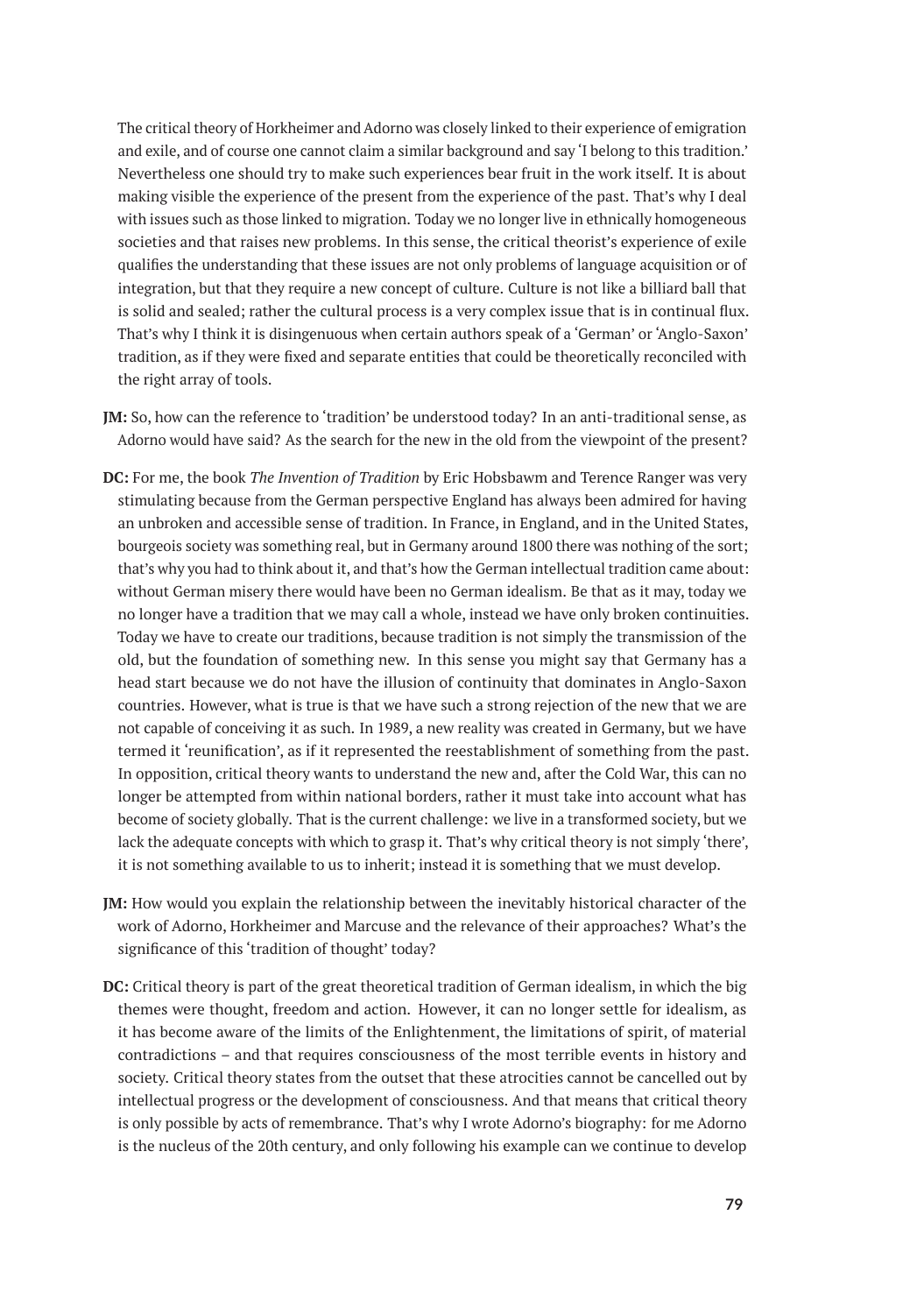The critical theory of Horkheimer and Adorno was closely linked to their experience of emigration and exile, and of course one cannot claim a similar background and say 'I belong to this tradition.' Nevertheless one should try to make such experiences bear fruit in the work itself. It is about making visible the experience of the present from the experience of the past. That's why I deal with issues such as those linked to migration. Today we no longer live in ethnically homogeneous societies and that raises new problems. In this sense, the critical theorist's experience of exile qualifies the understanding that these issues are not only problems of language acquisition or of integration, but that they require a new concept of culture. Culture is not like a billiard ball that is solid and sealed; rather the cultural process is a very complex issue that is in continual flux. That's why I think it is disingenuous when certain authors speak of a 'German' or 'Anglo-Saxon' tradition, as if they were fixed and separate entities that could be theoretically reconciled with the right array of tools.

- **JM:** So, how can the reference to 'tradition' be understood today? In an anti-traditional sense, as Adorno would have said? As the search for the new in the old from the viewpoint of the present?
- **DC:** For me, the book *The Invention of Tradition* by Eric Hobsbawm and Terence Ranger was very stimulating because from the German perspective England has always been admired for having an unbroken and accessible sense of tradition. In France, in England, and in the United States, bourgeois society was something real, but in Germany around 1800 there was nothing of the sort; that's why you had to think about it, and that's how the German intellectual tradition came about: without German misery there would have been no German idealism. Be that as it may, today we no longer have a tradition that we may call a whole, instead we have only broken continuities. Today we have to create our traditions, because tradition is not simply the transmission of the old, but the foundation of something new. In this sense you might say that Germany has a head start because we do not have the illusion of continuity that dominates in Anglo-Saxon countries. However, what is true is that we have such a strong rejection of the new that we are not capable of conceiving it as such. In 1989, a new reality was created in Germany, but we have termed it 'reunification', as if it represented the reestablishment of something from the past. In opposition, critical theory wants to understand the new and, after the Cold War, this can no longer be attempted from within national borders, rather it must take into account what has become of society globally. That is the current challenge: we live in a transformed society, but we lack the adequate concepts with which to grasp it. That's why critical theory is not simply 'there', it is not something available to us to inherit; instead it is something that we must develop.
- **JM:** How would you explain the relationship between the inevitably historical character of the work of Adorno, Horkheimer and Marcuse and the relevance of their approaches? What's the significance of this 'tradition of thought' today?
- **DC:** Critical theory is part of the great theoretical tradition of German idealism, in which the big themes were thought, freedom and action. However, it can no longer settle for idealism, as it has become aware of the limits of the Enlightenment, the limitations of spirit, of material contradictions – and that requires consciousness of the most terrible events in history and society. Critical theory states from the outset that these atrocities cannot be cancelled out by intellectual progress or the development of consciousness. And that means that critical theory is only possible by acts of remembrance. That's why I wrote Adorno's biography: for me Adorno is the nucleus of the 20th century, and only following his example can we continue to develop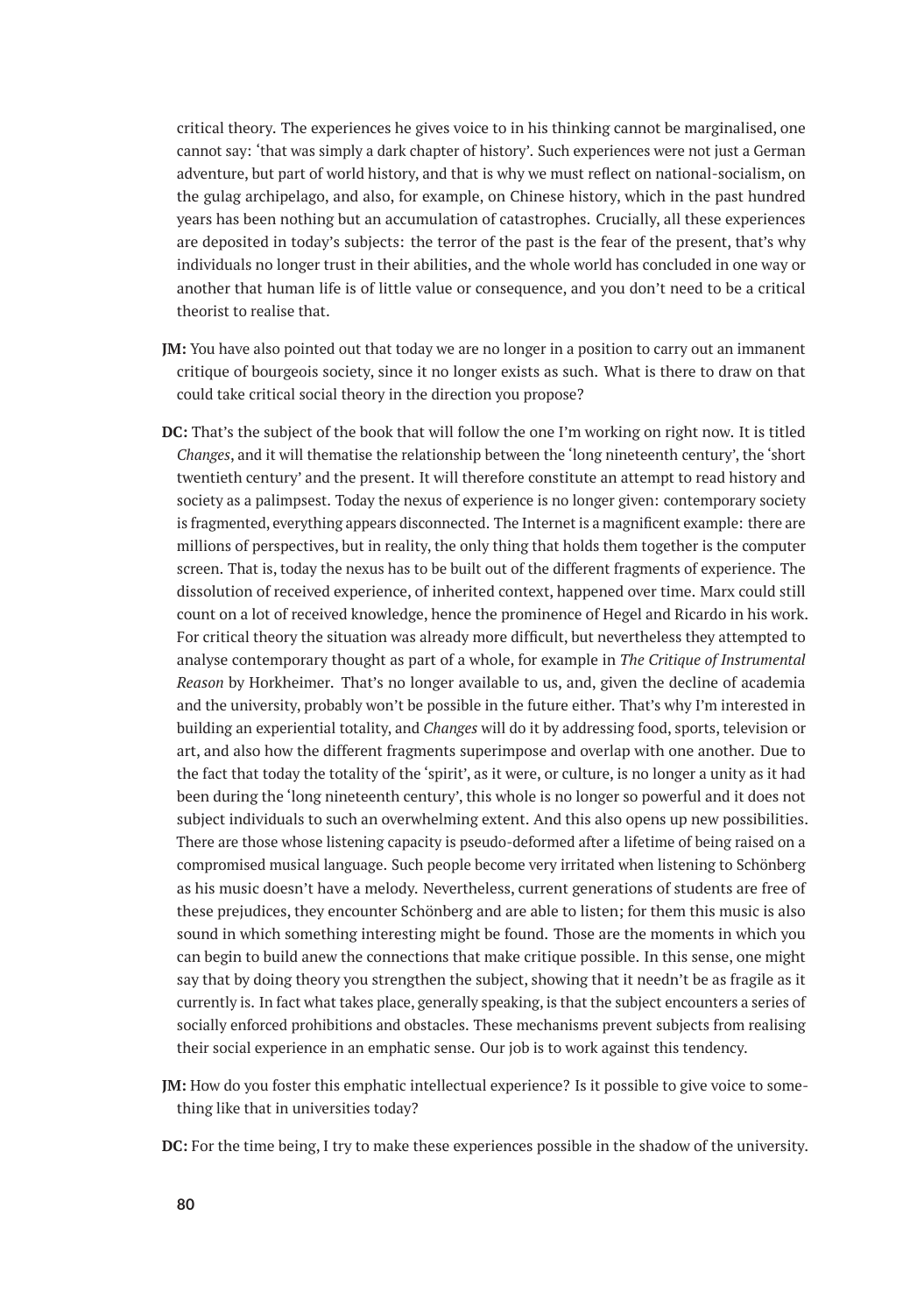critical theory. The experiences he gives voice to in his thinking cannot be marginalised, one cannot say: 'that was simply a dark chapter of history'. Such experiences were not just a German adventure, but part of world history, and that is why we must reflect on national-socialism, on the gulag archipelago, and also, for example, on Chinese history, which in the past hundred years has been nothing but an accumulation of catastrophes. Crucially, all these experiences are deposited in today's subjects: the terror of the past is the fear of the present, that's why individuals no longer trust in their abilities, and the whole world has concluded in one way or another that human life is of little value or consequence, and you don't need to be a critical theorist to realise that.

- **JM:** You have also pointed out that today we are no longer in a position to carry out an immanent critique of bourgeois society, since it no longer exists as such. What is there to draw on that could take critical social theory in the direction you propose?
- **DC:** That's the subject of the book that will follow the one I'm working on right now. It is titled *Changes*, and it will thematise the relationship between the 'long nineteenth century', the 'short twentieth century' and the present. It will therefore constitute an attempt to read history and society as a palimpsest. Today the nexus of experience is no longer given: contemporary society is fragmented, everything appears disconnected. The Internet is a magnificent example: there are millions of perspectives, but in reality, the only thing that holds them together is the computer screen. That is, today the nexus has to be built out of the different fragments of experience. The dissolution of received experience, of inherited context, happened over time. Marx could still count on a lot of received knowledge, hence the prominence of Hegel and Ricardo in his work. For critical theory the situation was already more difficult, but nevertheless they attempted to analyse contemporary thought as part of a whole, for example in *The Critique of Instrumental Reason* by Horkheimer. That's no longer available to us, and, given the decline of academia and the university, probably won't be possible in the future either. That's why I'm interested in building an experiential totality, and *Changes* will do it by addressing food, sports, television or art, and also how the different fragments superimpose and overlap with one another. Due to the fact that today the totality of the 'spirit', as it were, or culture, is no longer a unity as it had been during the 'long nineteenth century', this whole is no longer so powerful and it does not subject individuals to such an overwhelming extent. And this also opens up new possibilities. There are those whose listening capacity is pseudo-deformed after a lifetime of being raised on a compromised musical language. Such people become very irritated when listening to Schönberg as his music doesn't have a melody. Nevertheless, current generations of students are free of these prejudices, they encounter Schönberg and are able to listen; for them this music is also sound in which something interesting might be found. Those are the moments in which you can begin to build anew the connections that make critique possible. In this sense, one might say that by doing theory you strengthen the subject, showing that it needn't be as fragile as it currently is. In fact what takes place, generally speaking, is that the subject encounters a series of socially enforced prohibitions and obstacles. These mechanisms prevent subjects from realising their social experience in an emphatic sense. Our job is to work against this tendency.
- **JM:** How do you foster this emphatic intellectual experience? Is it possible to give voice to something like that in universities today?
- **DC:** For the time being, I try to make these experiences possible in the shadow of the university.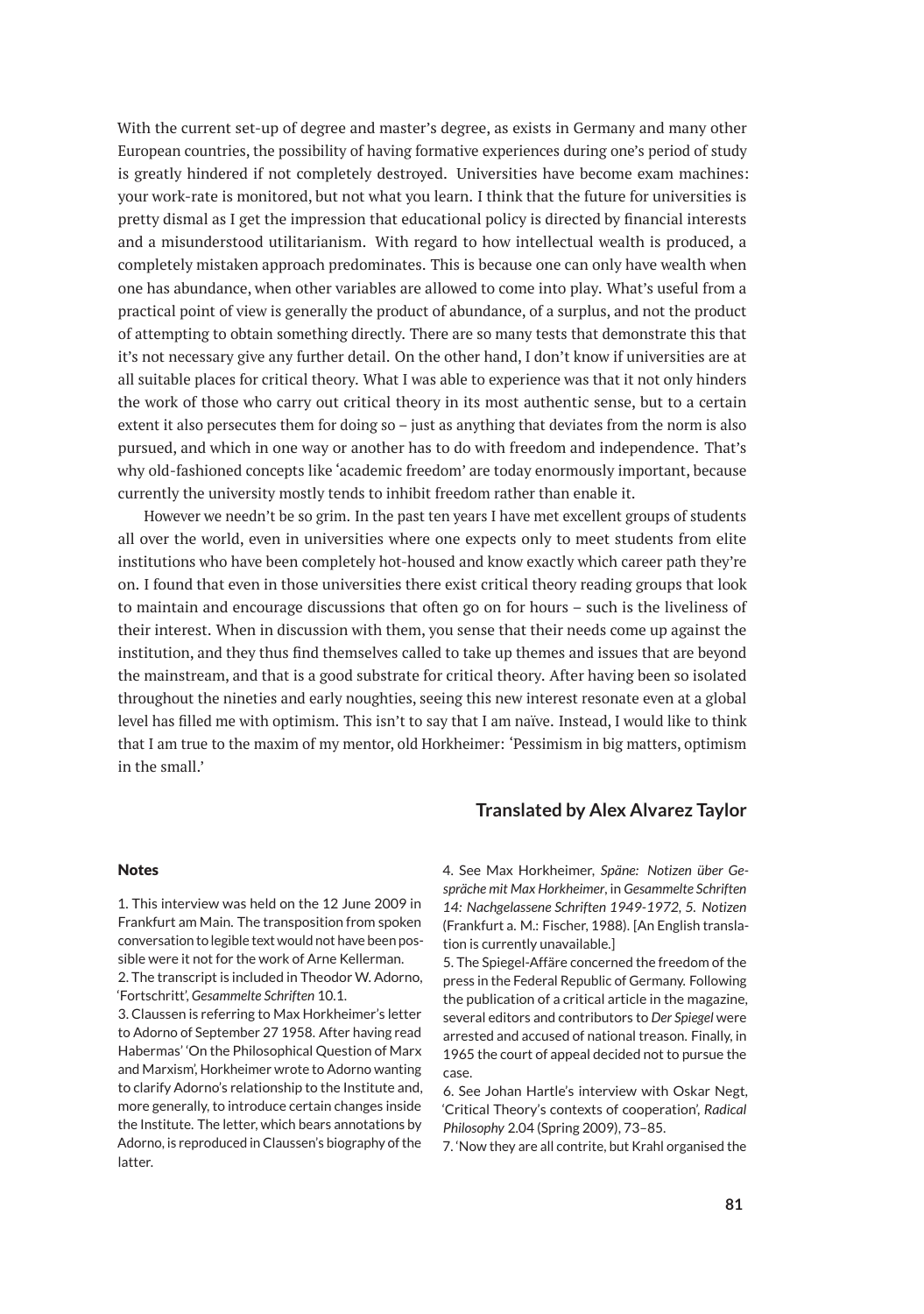With the current set-up of degree and master's degree, as exists in Germany and many other European countries, the possibility of having formative experiences during one's period of study is greatly hindered if not completely destroyed. Universities have become exam machines: your work-rate is monitored, but not what you learn. I think that the future for universities is pretty dismal as I get the impression that educational policy is directed by financial interests and a misunderstood utilitarianism. With regard to how intellectual wealth is produced, a completely mistaken approach predominates. This is because one can only have wealth when one has abundance, when other variables are allowed to come into play. What's useful from a practical point of view is generally the product of abundance, of a surplus, and not the product of attempting to obtain something directly. There are so many tests that demonstrate this that it's not necessary give any further detail. On the other hand, I don't know if universities are at all suitable places for critical theory. What I was able to experience was that it not only hinders the work of those who carry out critical theory in its most authentic sense, but to a certain extent it also persecutes them for doing so – just as anything that deviates from the norm is also pursued, and which in one way or another has to do with freedom and independence. That's why old-fashioned concepts like 'academic freedom' are today enormously important, because currently the university mostly tends to inhibit freedom rather than enable it.

However we needn't be so grim. In the past ten years I have met excellent groups of students all over the world, even in universities where one expects only to meet students from elite institutions who have been completely hot-housed and know exactly which career path they're on. I found that even in those universities there exist critical theory reading groups that look to maintain and encourage discussions that often go on for hours – such is the liveliness of their interest. When in discussion with them, you sense that their needs come up against the institution, and they thus find themselves called to take up themes and issues that are beyond the mainstream, and that is a good substrate for critical theory. After having been so isolated throughout the nineties and early noughties, seeing this new interest resonate even at a global level has filled me with optimism. This isn't to say that I am naïve. Instead, I would like to think that I am true to the maxim of my mentor, old Horkheimer: 'Pessimism in big matters, optimism in the small.'

#### **Translated by Alex Alvarez Taylor**

#### Notes

1. This interview was held on the 12 June 2009 in Frankfurt am Main. The transposition from spoken conversation to legible text would not have been possible were it not for the work of Arne Kellerman.

2. The transcript is included in Theodor W. Adorno, 'Fortschritt', *Gesammelte Schriften* 10.1.

3. Claussen is referring to Max Horkheimer's letter to Adorno of September 27 1958. After having read Habermas' 'On the Philosophical Question of Marx and Marxism', Horkheimer wrote to Adorno wanting to clarify Adorno's relationship to the Institute and, more generally, to introduce certain changes inside the Institute. The letter, which bears annotations by Adorno, is reproduced in Claussen's biography of the latter.

4. See Max Horkheimer, *Späne: Notizen über Gespräche mit Max Horkheimer*, in *Gesammelte Schriften 14: Nachgelassene Schriften 1949-1972, 5. Notizen* (Frankfurt a. M.: Fischer, 1988). [An English translation is currently unavailable.]

5. The Spiegel-Affäre concerned the freedom of the press in the Federal Republic of Germany. Following the publication of a critical article in the magazine, several editors and contributors to *Der Spiegel* were arrested and accused of national treason. Finally, in 1965 the court of appeal decided not to pursue the case.

6. See Johan Hartle's interview with Oskar Negt, 'Critical Theory's contexts of cooperation', *Radical Philosophy* 2.04 (Spring 2009), 73–85.

7. 'Now they are all contrite, but Krahl organised the